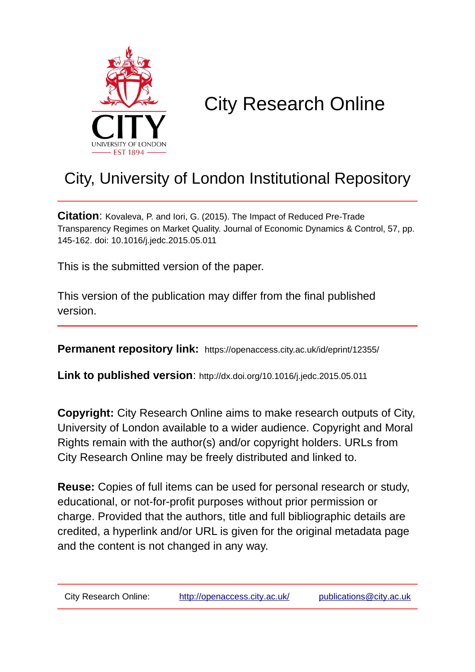

# City Research Online

## City, University of London Institutional Repository

**Citation**: Kovaleva, P. and Iori, G. (2015). The Impact of Reduced Pre-Trade Transparency Regimes on Market Quality. Journal of Economic Dynamics & Control, 57, pp. 145-162. doi: 10.1016/j.jedc.2015.05.011

This is the submitted version of the paper.

This version of the publication may differ from the final published version.

**Permanent repository link:** https://openaccess.city.ac.uk/id/eprint/12355/

**Link to published version**: http://dx.doi.org/10.1016/j.jedc.2015.05.011

**Copyright:** City Research Online aims to make research outputs of City, University of London available to a wider audience. Copyright and Moral Rights remain with the author(s) and/or copyright holders. URLs from City Research Online may be freely distributed and linked to.

**Reuse:** Copies of full items can be used for personal research or study, educational, or not-for-profit purposes without prior permission or charge. Provided that the authors, title and full bibliographic details are credited, a hyperlink and/or URL is given for the original metadata page and the content is not changed in any way.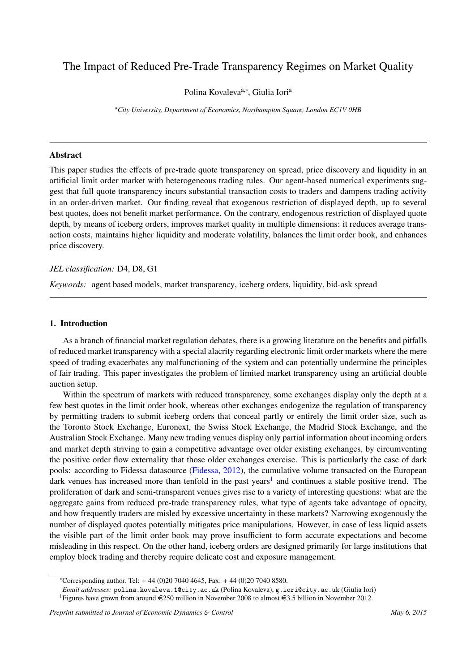### <span id="page-1-0"></span>The Impact of Reduced Pre-Trade Transparency Regimes on Market Quality

Polina Kovaleva<sup>a,∗</sup>, Giulia Iori<sup>a</sup>

*<sup>a</sup>City University, Department of Economics, Northampton Square, London EC1V 0HB*

#### Abstract

This paper studies the effects of pre-trade quote transparency on spread, price discovery and liquidity in an artificial limit order market with heterogeneous trading rules. Our agent-based numerical experiments suggest that full quote transparency incurs substantial transaction costs to traders and dampens trading activity in an order-driven market. Our finding reveal that exogenous restriction of displayed depth, up to several best quotes, does not benefit market performance. On the contrary, endogenous restriction of displayed quote depth, by means of iceberg orders, improves market quality in multiple dimensions: it reduces average transaction costs, maintains higher liquidity and moderate volatility, balances the limit order book, and enhances price discovery.

#### *JEL classification:* D4, D8, G1

*Keywords:* agent based models, market transparency, iceberg orders, liquidity, bid-ask spread

#### 1. Introduction

As a branch of financial market regulation debates, there is a growing literature on the benefits and pitfalls of reduced market transparency with a special alacrity regarding electronic limit order markets where the mere speed of trading exacerbates any malfunctioning of the system and can potentially undermine the principles of fair trading. This paper investigates the problem of limited market transparency using an artificial double auction setup.

Within the spectrum of markets with reduced transparency, some exchanges display only the depth at a few best quotes in the limit order book, whereas other exchanges endogenize the regulation of transparency by permitting traders to submit iceberg orders that conceal partly or entirely the limit order size, such as the Toronto Stock Exchange, Euronext, the Swiss Stock Exchange, the Madrid Stock Exchange, and the Australian Stock Exchange. Many new trading venues display only partial information about incoming orders and market depth striving to gain a competitive advantage over older existing exchanges, by circumventing the positive order flow externality that those older exchanges exercise. This is particularly the case of dark pools: according to Fidessa datasource [\(Fidessa,](#page-22-0) [2012\)](#page-22-0), the cumulative volume transacted on the European dark venues has increased more than tenfold in the past years<sup>1</sup> and continues a stable positive trend. The proliferation of dark and semi-transparent venues gives rise to a variety of interesting questions: what are the aggregate gains from reduced pre-trade transparency rules, what type of agents take advantage of opacity, and how frequently traders are misled by excessive uncertainty in these markets? Narrowing exogenously the number of displayed quotes potentially mitigates price manipulations. However, in case of less liquid assets the visible part of the limit order book may prove insufficient to form accurate expectations and become misleading in this respect. On the other hand, iceberg orders are designed primarily for large institutions that employ block trading and thereby require delicate cost and exposure management.

<sup>1</sup>Figures have grown from around  $\epsilon$ 250 million in November 2008 to almost  $\epsilon$ 3.5 billion in November 2012.

<sup>∗</sup>Corresponding author. Tel: + 44 (0)20 7040 4645, Fax: + 44 (0)20 7040 8580.

*Email addresses:* polina.kovaleva.1@city.ac.uk (Polina Kovaleva), g.iori@city.ac.uk (Giulia Iori)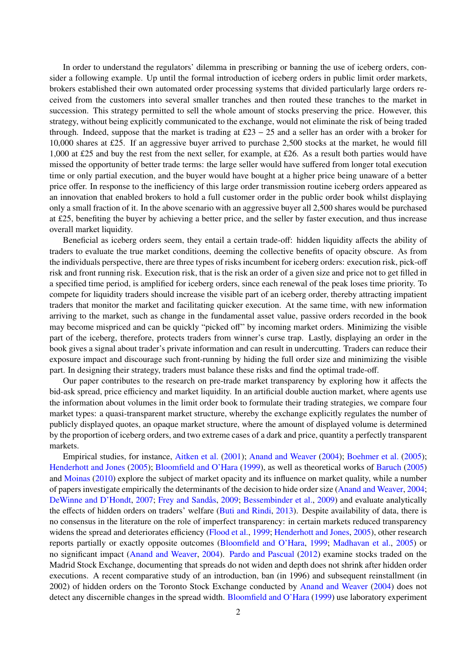In order to understand the regulators' dilemma in prescribing or banning the use of iceberg orders, consider a following example. Up until the formal introduction of iceberg orders in public limit order markets, brokers established their own automated order processing systems that divided particularly large orders received from the customers into several smaller tranches and then routed these tranches to the market in succession. This strategy permitted to sell the whole amount of stocks preserving the price. However, this strategy, without being explicitly communicated to the exchange, would not eliminate the risk of being traded through. Indeed, suppose that the market is trading at £23  $-$  25 and a seller has an order with a broker for 10,000 shares at £25. If an aggressive buyer arrived to purchase 2,500 stocks at the market, he would fill 1,000 at £25 and buy the rest from the next seller, for example, at £26. As a result both parties would have missed the opportunity of better trade terms: the large seller would have suffered from longer total execution time or only partial execution, and the buyer would have bought at a higher price being unaware of a better price offer. In response to the inefficiency of this large order transmission routine iceberg orders appeared as an innovation that enabled brokers to hold a full customer order in the public order book whilst displaying only a small fraction of it. In the above scenario with an aggressive buyer all 2,500 shares would be purchased at £25, benefiting the buyer by achieving a better price, and the seller by faster execution, and thus increase overall market liquidity.

Beneficial as iceberg orders seem, they entail a certain trade-off: hidden liquidity affects the ability of traders to evaluate the true market conditions, deeming the collective benefits of opacity obscure. As from the individuals perspective, there are three types of risks incumbent for iceberg orders: execution risk, pick-off risk and front running risk. Execution risk, that is the risk an order of a given size and price not to get filled in a specified time period, is amplified for iceberg orders, since each renewal of the peak loses time priority. To compete for liquidity traders should increase the visible part of an iceberg order, thereby attracting impatient traders that monitor the market and facilitating quicker execution. At the same time, with new information arriving to the market, such as change in the fundamental asset value, passive orders recorded in the book may become mispriced and can be quickly "picked off" by incoming market orders. Minimizing the visible part of the iceberg, therefore, protects traders from winner's curse trap. Lastly, displaying an order in the book gives a signal about trader's private information and can result in undercutting. Traders can reduce their exposure impact and discourage such front-running by hiding the full order size and minimizing the visible part. In designing their strategy, traders must balance these risks and find the optimal trade-off.

Our paper contributes to the research on pre-trade market transparency by exploring how it affects the bid-ask spread, price efficiency and market liquidity. In an artificial double auction market, where agents use the information about volumes in the limit order book to formulate their trading strategies, we compare four market types: a quasi-transparent market structure, whereby the exchange explicitly regulates the number of publicly displayed quotes, an opaque market structure, where the amount of displayed volume is determined by the proportion of iceberg orders, and two extreme cases of a dark and price, quantity a perfectly transparent markets.

Empirical studies, for instance, [Aitken et al.](#page-21-0) [\(2001\)](#page-21-0); [Anand and Weaver](#page-21-1) [\(2004\)](#page-21-1); [Boehmer et al.](#page-21-2) [\(2005\)](#page-21-2); [Henderhott and Jones](#page-22-1) [\(2005\)](#page-22-1); [Bloomfield and O'Hara](#page-21-3) [\(1999\)](#page-21-3), as well as theoretical works of [Baruch](#page-21-4) [\(2005\)](#page-21-4) and [Moinas](#page-22-2) [\(2010\)](#page-22-2) explore the subject of market opacity and its influence on market quality, while a number of papers investigate empirically the determinants of the decision to hide order size [\(Anand and Weaver,](#page-21-1) [2004;](#page-21-1) [DeWinne and D'Hondt,](#page-22-3) [2007;](#page-22-3) [Frey and Sandås,](#page-22-4) [2009;](#page-22-4) [Bessembinder et al.,](#page-21-5) [2009\)](#page-21-5) and evaluate analytically the effects of hidden orders on traders' welfare [\(Buti and Rindi,](#page-21-6) [2013\)](#page-21-6). Despite availability of data, there is no consensus in the literature on the role of imperfect transparency: in certain markets reduced transparency widens the spread and deteriorates efficiency [\(Flood et al.,](#page-22-5) [1999;](#page-22-5) [Henderhott and Jones,](#page-22-1) [2005\)](#page-22-1), other research reports partially or exactly opposite outcomes [\(Bloomfield and O'Hara,](#page-21-3) [1999;](#page-21-3) [Madhavan et al.,](#page-22-6) [2005\)](#page-22-6) or no significant impact [\(Anand and Weaver,](#page-21-1) [2004\)](#page-21-1). [Pardo and Pascual](#page-22-7) [\(2012\)](#page-22-7) examine stocks traded on the Madrid Stock Exchange, documenting that spreads do not widen and depth does not shrink after hidden order executions. A recent comparative study of an introduction, ban (in 1996) and subsequent reinstallment (in 2002) of hidden orders on the Toronto Stock Exchange conducted by [Anand and Weaver](#page-21-1) [\(2004\)](#page-21-1) does not detect any discernible changes in the spread width. [Bloomfield and O'Hara](#page-21-3) [\(1999\)](#page-21-3) use laboratory experiment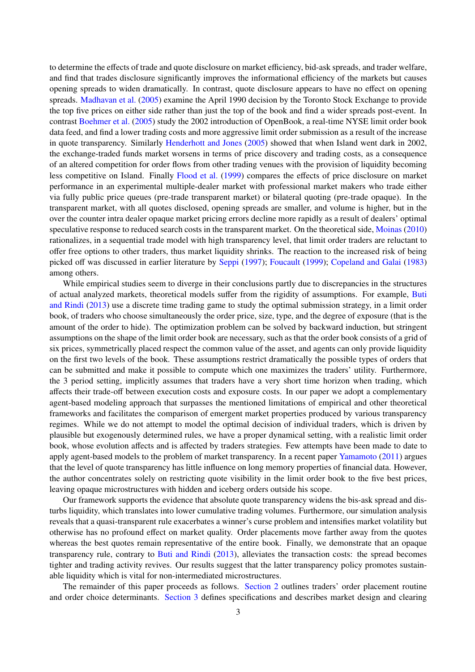to determine the effects of trade and quote disclosure on market efficiency, bid-ask spreads, and trader welfare, and find that trades disclosure significantly improves the informational efficiency of the markets but causes opening spreads to widen dramatically. In contrast, quote disclosure appears to have no effect on opening spreads. [Madhavan et al.](#page-22-6) [\(2005\)](#page-22-6) examine the April 1990 decision by the Toronto Stock Exchange to provide the top five prices on either side rather than just the top of the book and find a wider spreads post-event. In contrast [Boehmer et al.](#page-21-2) [\(2005\)](#page-21-2) study the 2002 introduction of OpenBook, a real-time NYSE limit order book data feed, and find a lower trading costs and more aggressive limit order submission as a result of the increase in quote transparency. Similarly [Henderhott and Jones](#page-22-1) [\(2005\)](#page-22-1) showed that when Island went dark in 2002, the exchange-traded funds market worsens in terms of price discovery and trading costs, as a consequence of an altered competition for order flows from other trading venues with the provision of liquidity becoming less competitive on Island. Finally [Flood et al.](#page-22-5) [\(1999\)](#page-22-5) compares the effects of price disclosure on market performance in an experimental multiple-dealer market with professional market makers who trade either via fully public price queues (pre-trade transparent market) or bilateral quoting (pre-trade opaque). In the transparent market, with all quotes disclosed, opening spreads are smaller, and volume is higher, but in the over the counter intra dealer opaque market pricing errors decline more rapidly as a result of dealers' optimal speculative response to reduced search costs in the transparent market. On the theoretical side, [Moinas](#page-22-2) [\(2010\)](#page-22-2) rationalizes, in a sequential trade model with high transparency level, that limit order traders are reluctant to offer free options to other traders, thus market liquidity shrinks. The reaction to the increased risk of being picked off was discussed in earlier literature by [Seppi](#page-22-8) [\(1997\)](#page-22-8); [Foucault](#page-22-9) [\(1999\)](#page-22-9); [Copeland and Galai](#page-22-10) [\(1983\)](#page-22-10) among others.

While empirical studies seem to diverge in their conclusions partly due to discrepancies in the structures of actual analyzed markets, theoretical models suffer from the rigidity of assumptions. For example, [Buti](#page-21-6) [and Rindi](#page-21-6) [\(2013\)](#page-21-6) use a discrete time trading game to study the optimal submission strategy, in a limit order book, of traders who choose simultaneously the order price, size, type, and the degree of exposure (that is the amount of the order to hide). The optimization problem can be solved by backward induction, but stringent assumptions on the shape of the limit order book are necessary, such as that the order book consists of a grid of six prices, symmetrically placed respect the common value of the asset, and agents can only provide liquidity on the first two levels of the book. These assumptions restrict dramatically the possible types of orders that can be submitted and make it possible to compute which one maximizes the traders' utility. Furthermore, the 3 period setting, implicitly assumes that traders have a very short time horizon when trading, which affects their trade-off between execution costs and exposure costs. In our paper we adopt a complementary agent-based modeling approach that surpasses the mentioned limitations of empirical and other theoretical frameworks and facilitates the comparison of emergent market properties produced by various transparency regimes. While we do not attempt to model the optimal decision of individual traders, which is driven by plausible but exogenously determined rules, we have a proper dynamical setting, with a realistic limit order book, whose evolution affects and is affected by traders strategies. Few attempts have been made to date to apply agent-based models to the problem of market transparency. In a recent paper [Yamamoto](#page-22-11) [\(2011\)](#page-22-11) argues that the level of quote transparency has little influence on long memory properties of financial data. However, the author concentrates solely on restricting quote visibility in the limit order book to the five best prices, leaving opaque microstructures with hidden and iceberg orders outside his scope.

Our framework supports the evidence that absolute quote transparency widens the bis-ask spread and disturbs liquidity, which translates into lower cumulative trading volumes. Furthermore, our simulation analysis reveals that a quasi-transparent rule exacerbates a winner's curse problem and intensifies market volatility but otherwise has no profound effect on market quality. Order placements move farther away from the quotes whereas the best quotes remain representative of the entire book. Finally, we demonstrate that an opaque transparency rule, contrary to [Buti and Rindi](#page-21-6) [\(2013\)](#page-21-6), alleviates the transaction costs: the spread becomes tighter and trading activity revives. Our results suggest that the latter transparency policy promotes sustainable liquidity which is vital for non-intermediated microstructures.

The remainder of this paper proceeds as follows. [Section 2](#page-4-0) outlines traders' order placement routine and order choice determinants. [Section 3](#page-5-0) defines specifications and describes market design and clearing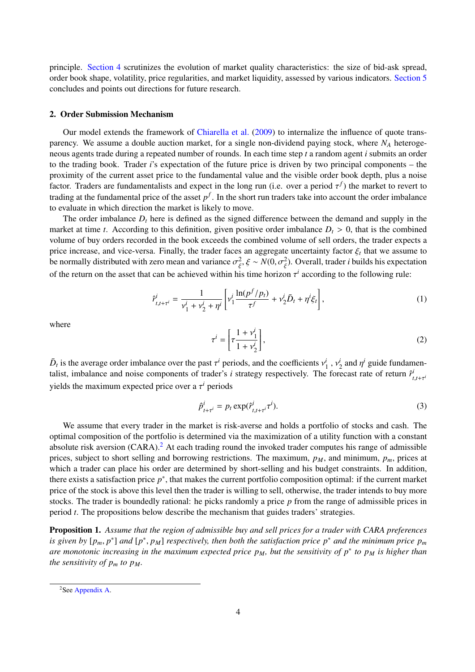principle. [Section 4](#page-9-0) scrutinizes the evolution of market quality characteristics: the size of bid-ask spread, order book shape, volatility, price regularities, and market liquidity, assessed by various indicators. [Section 5](#page-16-0) concludes and points out directions for future research.

#### <span id="page-4-0"></span>2. Order Submission Mechanism

Our model extends the framework of [Chiarella et al.](#page-22-12) [\(2009\)](#page-22-12) to internalize the influence of quote transparency. We assume a double auction market, for a single non-dividend paying stock, where *N<sup>A</sup>* heterogeneous agents trade during a repeated number of rounds. In each time step *t* a random agent *i* submits an order to the trading book. Trader *i*'s expectation of the future price is driven by two principal components – the proximity of the current asset price to the fundamental value and the visible order book depth, plus a noise factor. Traders are fundamentalists and expect in the long run (i.e. over a period  $\tau^f$ ) the market to revert to revert to reduce the fundamental price of the asset of such the short run traders take into account the or trading at the fundamental price of the asset  $p^f$ . In the short run traders take into account the order imbalance to evaluate in which direction the market is likely to move.

The order imbalance  $D_t$  here is defined as the signed difference between the demand and supply in the market at time *t*. According to this definition, given positive order imbalance  $D_t > 0$ , that is the combined volume of buy orders recorded in the book exceeds the combined volume of sell orders, the trader expects a price increase, and vice-versa. Finally, the trader faces an aggregate uncertainty factor  $\xi_t$  that we assume to<br>be normally distributed with zero mean and variance  $\sigma^2 \xi \sim N(0, \sigma^2)$ . Overall, trader *i* builds his exp be normally distributed with zero mean and variance  $\sigma_{\xi}^2$ ,  $\xi \sim N(0, \sigma_{\xi}^2)$ . Overall, trader *i* builds his expectation of the return on the asset that can be achieved within his time horizon  $\tau^i$  according to the following rule:

<span id="page-4-2"></span>
$$
\hat{r}_{t,t+\tau^i}^i = \frac{1}{\nu_1^i + \nu_2^i + \eta^i} \left[ \nu_1^i \frac{\ln(p^f/p_t)}{\tau^f} + \nu_2^i \bar{D}_t + \eta^i \xi_t \right],\tag{1}
$$

where

$$
\tau^i = \left[ \tau \frac{1 + \nu_1^i}{1 + \nu_2^i} \right],\tag{2}
$$

 $\bar{D}_t$  is the average order imbalance over the past  $\tau^i$  periods, and the coefficients  $v_1^i$ ,  $v_2^i$  and  $\eta^i$  guide fundamentally the function of the state of return  $\hat{r}^i$ . talist, imbalance and noise components of trader's *i* strategy respectively. The forecast rate of return  $\hat{r}$ *<sup>t</sup>*,*t*+τ *i* yields the maximum expected price over a  $\tau^i$  periods

<span id="page-4-3"></span>
$$
\hat{p}_{t+\tau^i}^i = p_t \exp(\hat{r}_{t,t+\tau^i}^i \tau^i). \tag{3}
$$

We assume that every trader in the market is risk-averse and holds a portfolio of stocks and cash. The optimal composition of the portfolio is determined via the maximization of a utility function with a constant absolute risk aversion (CARA).<sup>[2](#page-1-0)</sup> At each trading round the invoked trader computes his range of admissible prices, subject to short selling and borrowing restrictions. The maximum,  $p_M$ , and minimum,  $p_m$ , prices at which a trader can place his order are determined by short-selling and his budget constraints. In addition, there exists a satisfaction price  $p^*$ , that makes the current portfolio composition optimal: if the current market price of the stock is above this level then the trader is willing to sell, otherwise, the trader intends to buy more stocks. The trader is boundedly rational: he picks randomly a price *p* from the range of admissible prices in period *t*. The propositions below describe the mechanism that guides traders' strategies.

<span id="page-4-1"></span>Proposition 1. *Assume that the region of admissible buy and sell prices for a trader with CARA preferences is given by*  $[p_m, p^*]$  *and*  $[p^*, p_M]$  *respectively, then both the satisfaction price*  $p^*$  *and the minimum price*  $p_m$ <br>*are monotonic increasing in the maximum expected price*  $p_M$ *, but the sensitivity of*  $p^*$  *to*  $p_M$ *are monotonic increasing in the maximum expected price pM, but the sensitivity of p*<sup>∗</sup> *to p<sup>M</sup> is higher than the sensitivity of*  $p_m$  *to*  $p_M$ *.* 

<sup>2</sup>See [Appendix A.](#page-17-0)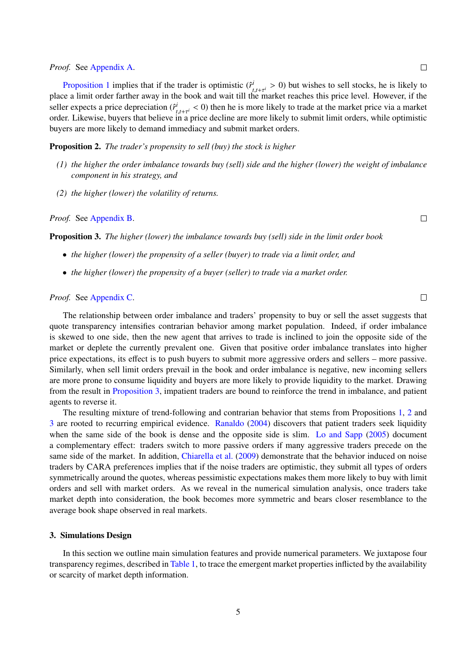#### *Proof.* See [Appendix A.](#page-17-0)

[Proposition 1](#page-4-1) implies that if the trader is optimistic  $(\hat{r}_{t,t+\tau^i}^i > 0)$  but wishes to sell stocks, he is likely to place a limit order farther away in the book and wait till the market reaches this price level. However, if the seller expects a price depreciation  $(\hat{r}^i_{t,t+\tau^i} < 0)$  then he is more likely to trade at the market price via a market<br>order I ikewise, huyers that believe in a price decline are more likely to submit limit orders, wh order. Likewise, buyers that believe in a price decline are more likely to submit limit orders, while optimistic buyers are more likely to demand immediacy and submit market orders.

<span id="page-5-2"></span>Proposition 2. *The trader's propensity to sell (buy) the stock is higher*

- *(1) the higher the order imbalance towards buy (sell) side and the higher (lower) the weight of imbalance component in his strategy, and*
- *(2) the higher (lower) the volatility of returns.*

#### *Proof.* See [Appendix B.](#page-18-0)

<span id="page-5-1"></span>Proposition 3. *The higher (lower) the imbalance towards buy (sell) side in the limit order book*

- *the higher (lower) the propensity of a seller (buyer) to trade via a limit order, and*
- *the higher (lower) the propensity of a buyer (seller) to trade via a market order.*

#### *Proof.* See [Appendix C.](#page-20-0)

The relationship between order imbalance and traders' propensity to buy or sell the asset suggests that quote transparency intensifies contrarian behavior among market population. Indeed, if order imbalance is skewed to one side, then the new agent that arrives to trade is inclined to join the opposite side of the market or deplete the currently prevalent one. Given that positive order imbalance translates into higher price expectations, its effect is to push buyers to submit more aggressive orders and sellers – more passive. Similarly, when sell limit orders prevail in the book and order imbalance is negative, new incoming sellers are more prone to consume liquidity and buyers are more likely to provide liquidity to the market. Drawing from the result in [Proposition 3,](#page-5-1) impatient traders are bound to reinforce the trend in imbalance, and patient agents to reverse it.

The resulting mixture of trend-following and contrarian behavior that stems from Propositions [1,](#page-4-1) [2](#page-5-2) and [3](#page-5-1) are rooted to recurring empirical evidence. [Ranaldo](#page-22-13) [\(2004\)](#page-22-13) discovers that patient traders seek liquidity when the same side of the book is dense and the opposite side is slim. [Lo and Sapp](#page-22-14) [\(2005\)](#page-22-14) document a complementary effect: traders switch to more passive orders if many aggressive traders precede on the same side of the market. In addition, [Chiarella et al.](#page-22-12) [\(2009\)](#page-22-12) demonstrate that the behavior induced on noise traders by CARA preferences implies that if the noise traders are optimistic, they submit all types of orders symmetrically around the quotes, whereas pessimistic expectations makes them more likely to buy with limit orders and sell with market orders. As we reveal in the numerical simulation analysis, once traders take market depth into consideration, the book becomes more symmetric and bears closer resemblance to the average book shape observed in real markets.

#### <span id="page-5-0"></span>3. Simulations Design

In this section we outline main simulation features and provide numerical parameters. We juxtapose four transparency regimes, described in [Table 1,](#page-6-0) to trace the emergent market properties inflicted by the availability or scarcity of market depth information.

 $\Box$ 

 $\Box$ 

 $\Box$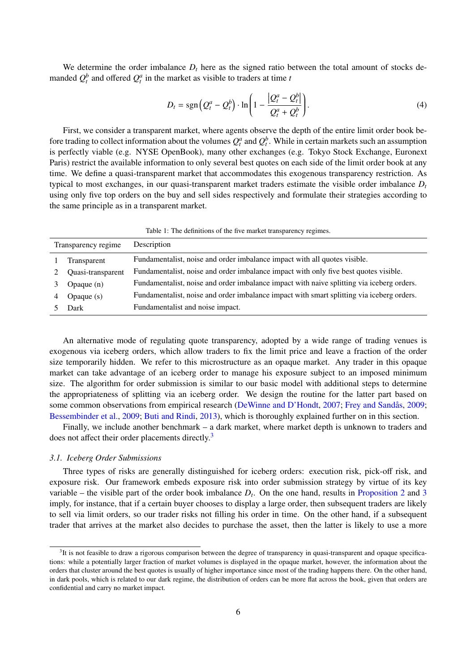We determine the order imbalance  $D_t$  here as the signed ratio between the total amount of stocks demanded  $Q_t^b$  and offered  $Q_t^a$  in the market as visible to traders at time *t* 

<span id="page-6-1"></span>
$$
D_t = \text{sgn}\left(Q_t^a - Q_t^b\right) \cdot \ln\left(1 - \frac{|Q_t^a - Q_t^b|}{Q_t^a + Q_t^b}\right). \tag{4}
$$

First, we consider a transparent market, where agents observe the depth of the entire limit order book before trading to collect information about the volumes  $Q_t^a$  and  $Q_t^b$ . While in certain markets such an assumption is perfectly viable (e.g. NYSE OpenBook), many other exchanges (e.g. Tokyo Stock Exchange, Euronext Paris) restrict the available information to only several best quotes on each side of the limit order book at any time. We define a quasi-transparent market that accommodates this exogenous transparency restriction. As typical to most exchanges, in our quasi-transparent market traders estimate the visible order imbalance  $D_t$ using only five top orders on the buy and sell sides respectively and formulate their strategies according to the same principle as in a transparent market.

<span id="page-6-0"></span>

|  |  | Table 1: The definitions of the five market transparency regimes. |
|--|--|-------------------------------------------------------------------|
|  |  |                                                                   |

| Transparency regime | Description                                                                               |
|---------------------|-------------------------------------------------------------------------------------------|
| Transparent         | Fundamentalist, noise and order imbalance impact with all quotes visible.                 |
| Quasi-transparent   | Fundamentalist, noise and order imbalance impact with only five best quotes visible.      |
| Opaque $(n)$        | Fundamentalist, noise and order imbalance impact with naive splitting via iceberg orders. |
| Opaque $(s)$        | Fundamentalist, noise and order imbalance impact with smart splitting via iceberg orders. |
| Dark                | Fundamentalist and noise impact.                                                          |

An alternative mode of regulating quote transparency, adopted by a wide range of trading venues is exogenous via iceberg orders, which allow traders to fix the limit price and leave a fraction of the order size temporarily hidden. We refer to this microstructure as an opaque market. Any trader in this opaque market can take advantage of an iceberg order to manage his exposure subject to an imposed minimum size. The algorithm for order submission is similar to our basic model with additional steps to determine the appropriateness of splitting via an iceberg order. We design the routine for the latter part based on some common observations from empirical research [\(DeWinne and D'Hondt,](#page-22-3) [2007;](#page-22-3) [Frey and Sandås,](#page-22-4) [2009;](#page-22-4) [Bessembinder et al.,](#page-21-5) [2009;](#page-21-5) [Buti and Rindi,](#page-21-6) [2013\)](#page-21-6), which is thoroughly explained further on in this section.

Finally, we include another benchmark – a dark market, where market depth is unknown to traders and does not affect their order placements directly.<sup>[3](#page-1-0)</sup>

#### *3.1. Iceberg Order Submissions*

Three types of risks are generally distinguished for iceberg orders: execution risk, pick-off risk, and exposure risk. Our framework embeds exposure risk into order submission strategy by virtue of its key variable – the visible part of the order book imbalance  $D_t$ . On the one hand, results in [Proposition 2](#page-5-2) and [3](#page-5-1) imply, for instance, that if a certain buyer chooses to display a large order, then subsequent traders are likely to sell via limit orders, so our trader risks not filling his order in time. On the other hand, if a subsequent trader that arrives at the market also decides to purchase the asset, then the latter is likely to use a more

 ${}^{3}$ It is not feasible to draw a rigorous comparison between the degree of transparency in quasi-transparent and opaque specifications: while a potentially larger fraction of market volumes is displayed in the opaque market, however, the information about the orders that cluster around the best quotes is usually of higher importance since most of the trading happens there. On the other hand, in dark pools, which is related to our dark regime, the distribution of orders can be more flat across the book, given that orders are confidential and carry no market impact.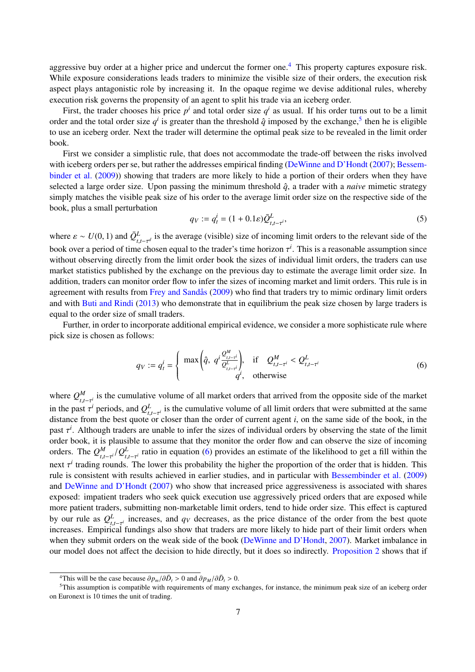aggressive buy order at a higher price and undercut the former one.<sup>[4](#page-1-0)</sup> This property captures exposure risk. While exposure considerations leads traders to minimize the visible size of their orders, the execution risk aspect plays antagonistic role by increasing it. In the opaque regime we devise additional rules, whereby execution risk governs the propensity of an agent to split his trade via an iceberg order.

First, the trader chooses his price  $p^i$  and total order size  $q^i$  as usual. If his order turns out to be a limit order and the total order size  $q^i$  is greater than the threshold  $\hat{q}$  imposed by the exchange,<sup>[5](#page-1-0)</sup> then he is eligible to use an iceberg order. Next the trader will determine the optimal peak size to be revealed in the limit order book.

First we consider a simplistic rule, that does not accommodate the trade-off between the risks involved with iceberg orders per se, but rather the addresses empirical finding [\(DeWinne and D'Hondt](#page-22-3) [\(2007\)](#page-22-3); [Bessem](#page-21-5)[binder et al.](#page-21-5) [\(2009\)](#page-21-5)) showing that traders are more likely to hide a portion of their orders when they have selected a large order size. Upon passing the minimum threshold  $\hat{q}$ , a trader with a *naive* mimetic strategy simply matches the visible peak size of his order to the average limit order size on the respective side of the book, plus a small perturbation

$$
q_V := q_t^i = (1 + 0.1\varepsilon)\bar{Q}_{t,t-\tau^i}^L,
$$
\n(5)

where  $\varepsilon \sim U(0, 1)$  and  $\overline{Q}^L_{t,t-\tau^d}$  is the average (visible) size of incoming limit orders to the relevant side of the hook over a period of time aboson over to the trader's time berizen  $\tau^i$ . This is a reasonab book over a period of time chosen equal to the trader's time horizon  $\tau^i$ . This is a reasonable assumption since without observing directly from the limit order book the sizes of individual limit orders, the traders can without observing directly from the limit order book the sizes of individual limit orders, the traders can use market statistics published by the exchange on the previous day to estimate the average limit order size. In addition, traders can monitor order flow to infer the sizes of incoming market and limit orders. This rule is in agreement with results from [Frey and Sandås](#page-22-4) [\(2009\)](#page-22-4) who find that traders try to mimic ordinary limit orders and with [Buti and Rindi](#page-21-6) [\(2013\)](#page-21-6) who demonstrate that in equilibrium the peak size chosen by large traders is equal to the order size of small traders.

Further, in order to incorporate additional empirical evidence, we consider a more sophisticate rule where pick size is chosen as follows:

<span id="page-7-0"></span>
$$
q_V := q_t^i = \begin{cases} \max\left(\hat{q}, \ q^i \frac{Q_{t,t-\tau^i}^M}{Q_{t,t-\tau^i}^L}\right), & \text{if } Q_{t,t-\tau^i}^M < Q_{t,t-\tau^i}^L\\ q^i, & \text{otherwise} \end{cases} \tag{6}
$$

where  $Q_{t,t-\tau i}^{M}$  is the cumulative volume of all market orders that arrived from the opposite side of the market *<sup>t</sup>*,*t*−τ in the past  $\tau^i$  periods, and  $Q^L_{t,t-\tau^i}$  is the cumulative volume of all limit orders that were submitted at the same<br>distance from the best quote or closer than the order of current agent i, on the same side of the distance from the best quote or closer than the order of current agent *i*, on the same side of the book, in the distance from the best quote or closer than the order of current agent *i*, on the same side of the book, in past  $\tau^i$ . Although traders are unable to infer the sizes of individual orders by observing the state of the limit order book, it is plausible to assume that they monitor the order flow and can observe the size of incom order book, it is plausible to assume that they monitor the order flow and can observe the size of incoming orders. The  $Q_{t}^{M}$  $\sum_{t,t-\tau}^{M} / Q_{t,\tau}^{L}$  $t_{t-\tau i}$  ratio in equation [\(6\)](#page-7-0) provides an estimate of the likelihood to get a fill within the  $t$ <sup>1</sup>. The lower this probability the higher the propertien of the order that is higher. This next  $\tau^i$  trading rounds. The lower this probability the higher the proportion of the order that is hidden. This rule is consistent with results achieved in earlier studies, and in particular with **Bessenbinder et al.** rule is consistent with results achieved in earlier studies, and in particular with [Bessembinder et al.](#page-21-5) [\(2009\)](#page-21-5) and [DeWinne and D'Hondt](#page-22-3) [\(2007\)](#page-22-3) who show that increased price aggressiveness is associated with shares exposed: impatient traders who seek quick execution use aggressively priced orders that are exposed while more patient traders, submitting non-marketable limit orders, tend to hide order size. This effect is captured by our rule as  $Q^L$  $t_{t-\tau'}$  increases, and *q<sub>V</sub>* decreases, as the price distance of the order from the best quote is also show that traders are more likely to hide part of their limit orders when increases. Empirical fundings also show that traders are more likely to hide part of their limit orders when when they submit orders on the weak side of the book [\(DeWinne and D'Hondt,](#page-22-3) [2007\)](#page-22-3). Market imbalance in our model does not affect the decision to hide directly, but it does so indirectly. [Proposition 2](#page-5-2) shows that if

<sup>&</sup>lt;sup>4</sup>This will be the case because  $\partial p_m / \partial \bar{D}_t > 0$  and  $\partial p_m / \partial \bar{D}_t > 0$ .<sup>5</sup>This assumption is compatible with requirements of many ex-

<sup>5</sup>This assumption is compatible with requirements of many exchanges, for instance, the minimum peak size of an iceberg order on Euronext is 10 times the unit of trading.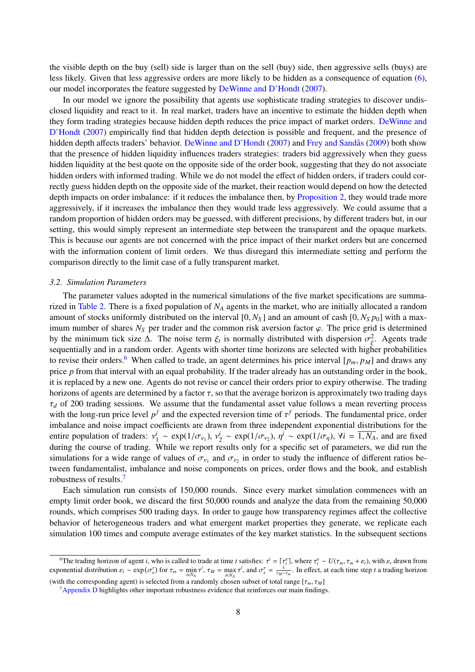the visible depth on the buy (sell) side is larger than on the sell (buy) side, then aggressive sells (buys) are less likely. Given that less aggressive orders are more likely to be hidden as a consequence of equation [\(6\)](#page-7-0), our model incorporates the feature suggested by [DeWinne and D'Hondt](#page-22-3) [\(2007\)](#page-22-3).

In our model we ignore the possibility that agents use sophisticate trading strategies to discover undisclosed liquidity and react to it. In real market, traders have an incentive to estimate the hidden depth when they form trading strategies because hidden depth reduces the price impact of market orders. [DeWinne and](#page-22-3) [D'Hondt](#page-22-3) [\(2007\)](#page-22-3) empirically find that hidden depth detection is possible and frequent, and the presence of hidden depth affects traders' behavior. [DeWinne and D'Hondt](#page-22-3) [\(2007\)](#page-22-3) and [Frey and Sandås](#page-22-4) [\(2009\)](#page-22-4) both show that the presence of hidden liquidity influences traders strategies: traders bid aggressively when they guess hidden liquidity at the best quote on the opposite side of the order book, suggesting that they do not associate hidden orders with informed trading. While we do not model the effect of hidden orders, if traders could correctly guess hidden depth on the opposite side of the market, their reaction would depend on how the detected depth impacts on order imbalance: if it reduces the imbalance then, by [Proposition 2,](#page-5-2) they would trade more aggressively, if it increases the imbalance then they would trade less aggressively. We could assume that a random proportion of hidden orders may be guessed, with different precisions, by different traders but, in our setting, this would simply represent an intermediate step between the transparent and the opaque markets. This is because our agents are not concerned with the price impact of their market orders but are concerned with the information content of limit orders. We thus disregard this intermediate setting and perform the comparison directly to the limit case of a fully transparent market.

#### *3.2. Simulation Parameters*

The parameter values adopted in the numerical simulations of the five market specifications are summarized in [Table 2.](#page-9-1) There is a fixed population of *N<sup>A</sup>* agents in the market, who are initially allocated a random amount of stocks uniformly distributed on the interval  $[0, N<sub>S</sub>]$  and an amount of cash  $[0, N<sub>S</sub> p<sub>0</sub>]$  with a maximum number of shares  $N<sub>S</sub>$  per trader and the common risk aversion factor  $\varphi$ . The price grid is determined by the minimum tick size Δ. The noise term  $\xi_t$  is normally distributed with dispersion  $\sigma_{\xi}^2$ . Agents trade<br>sequentially and in a random order. Agents with shorter time horizons are selected with higher probabiliti sequentially and in a random order. Agents with shorter time horizons are selected with higher probabilities to revise their orders.<sup>[6](#page-1-0)</sup> When called to trade, an agent determines his price interval [ $p_m$ ,  $p_M$ ] and draws any price *p* from that interval with an equal probability. If the trader already has an outstanding order in the book, it is replaced by a new one. Agents do not revise or cancel their orders prior to expiry otherwise. The trading horizons of agents are determined by a factor  $\tau$ , so that the average horizon is approximately two trading days  $\tau_d$  of 200 trading sessions. We assume that the fundamental asset value follows a mean reverting process with the long-run price level  $p^f$  and the expected reversion time of  $\tau^f$  periods. The fundamental price, order<br>imbalance and poise impact coefficients are drawn from three independent exponential distributions for th imbalance and noise impact coefficients are drawn from three independent exponential distributions for the entire population of traders:  $v_1^i \sim \exp(1/\sigma_{v_1}), v_2^i \sim \exp(1/\sigma_{v_2}), \eta^i \sim \exp(1/\sigma_{\eta}), \forall i = \overline{1, N_A}$ , and are fixed<br>during the course of trading. While we report results only for a specific set of parameters, we did run the during the course of trading. While we report results only for a specific set of parameters, we did run the simulations for a wide range of values of  $\sigma_{v_1}$  and  $\sigma_{v_2}$  in order to study the influence of different ratios be-<br>tween fundamentalist, imbalance and noise components on prices, order flows and the book, and estab tween fundamentalist, imbalance and noise components on prices, order flows and the book, and establish robustness of results.[7](#page-1-0)

Each simulation run consists of 150,000 rounds. Since every market simulation commences with an empty limit order book, we discard the first 50,000 rounds and analyze the data from the remaining 50,000 rounds, which comprises 500 trading days. In order to gauge how transparency regimes affect the collective behavior of heterogeneous traders and what emergent market properties they generate, we replicate each simulation 100 times and compute average estimates of the key market statistics. In the subsequent sections

<sup>&</sup>lt;sup>6</sup>The trading horizon of agent *i*, who is called to trade at time *t* satisfies:  $\tau^i = [\tau_i^e]$ , where  $\tau_i^e \sim U(\tau_m, \tau_m + \varepsilon_t)$ , with  $\varepsilon_t$  drawn from one trial distribution  $\varepsilon \sim \exp(\sigma^{\tau})$  for  $\tau = \min \tau^i$ ,  $\tau_{xx} = \max \tau^$ exponential distribution  $\varepsilon_t \sim \exp(\sigma_{\varepsilon}^{\tau})$  for  $\tau_m = \min_{i \in N_A} \tau$  $\int_i^i$ ,  $\tau_M = \max_{i \in N_A} \tau$ *i*, and  $\sigma_{\varepsilon}^{\tau} = \frac{1}{\tau_M - \tau_m}$ . In effect, at each time step *t* a trading horizon

<sup>(</sup>with the corresponding agent) is selected from a randomly chosen subset of total range  $[\tau_m, \tau_M]$ 

 $7$ [Appendix D](#page-21-7) highlights other important robustness evidence that reinforces our main findings.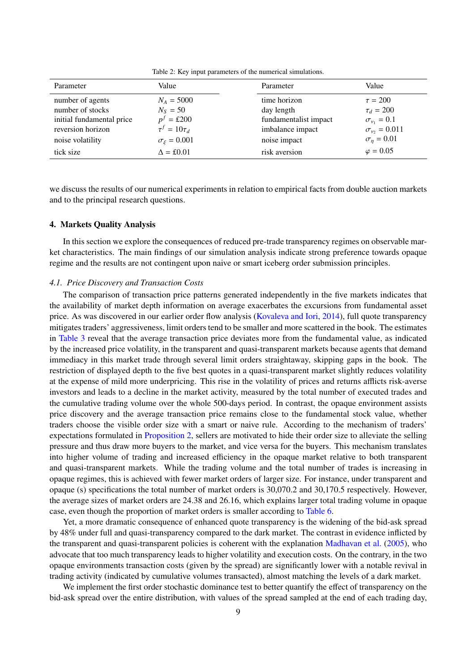| Parameter                 | Value                          | Parameter             | Value                  |
|---------------------------|--------------------------------|-----------------------|------------------------|
| number of agents          | $N_A = 5000$                   | time horizon          | $\tau = 200$           |
| number of stocks          | $N_{S} = 50$                   | day length            | $\tau_d = 200$         |
| initial fundamental price | $p^f = \pounds 200$            | fundamentalist impact | $\sigma_{v_1} = 0.1$   |
| reversion horizon         | $\tau^f = 10\tau_d$            | imbalance impact      | $\sigma_{v_2} = 0.011$ |
| noise volatility          | $\sigma_{\varepsilon} = 0.001$ | noise impact          | $\sigma_n = 0.01$      |
| tick size                 | $\Delta = \pounds 0.01$        | risk aversion         | $\varphi = 0.05$       |

<span id="page-9-1"></span>Table 2: Key input parameters of the numerical simulations.

we discuss the results of our numerical experiments in relation to empirical facts from double auction markets and to the principal research questions.

#### <span id="page-9-0"></span>4. Markets Quality Analysis

In this section we explore the consequences of reduced pre-trade transparency regimes on observable market characteristics. The main findings of our simulation analysis indicate strong preference towards opaque regime and the results are not contingent upon naive or smart iceberg order submission principles.

#### *4.1. Price Discovery and Transaction Costs*

The comparison of transaction price patterns generated independently in the five markets indicates that the availability of market depth information on average exacerbates the excursions from fundamental asset price. As was discovered in our earlier order flow analysis [\(Kovaleva and Iori,](#page-22-15) [2014\)](#page-22-15), full quote transparency mitigates traders' aggressiveness, limit orders tend to be smaller and more scattered in the book. The estimates in [Table 3](#page-10-0) reveal that the average transaction price deviates more from the fundamental value, as indicated by the increased price volatility, in the transparent and quasi-transparent markets because agents that demand immediacy in this market trade through several limit orders straightaway, skipping gaps in the book. The restriction of displayed depth to the five best quotes in a quasi-transparent market slightly reduces volatility at the expense of mild more underpricing. This rise in the volatility of prices and returns afflicts risk-averse investors and leads to a decline in the market activity, measured by the total number of executed trades and the cumulative trading volume over the whole 500-days period. In contrast, the opaque environment assists price discovery and the average transaction price remains close to the fundamental stock value, whether traders choose the visible order size with a smart or naive rule. According to the mechanism of traders' expectations formulated in [Proposition 2,](#page-5-2) sellers are motivated to hide their order size to alleviate the selling pressure and thus draw more buyers to the market, and vice versa for the buyers. This mechanism translates into higher volume of trading and increased efficiency in the opaque market relative to both transparent and quasi-transparent markets. While the trading volume and the total number of trades is increasing in opaque regimes, this is achieved with fewer market orders of larger size. For instance, under transparent and opaque (s) specifications the total number of market orders is 30,070.2 and 30,170.5 respectively. However, the average sizes of market orders are 24.38 and 26.16, which explains larger total trading volume in opaque case, even though the proportion of market orders is smaller according to [Table 6.](#page-13-0)

Yet, a more dramatic consequence of enhanced quote transparency is the widening of the bid-ask spread by 48% under full and quasi-transparency compared to the dark market. The contrast in evidence inflicted by the transparent and quasi-transparent policies is coherent with the explanation [Madhavan et al.](#page-22-6) [\(2005\)](#page-22-6), who advocate that too much transparency leads to higher volatility and execution costs. On the contrary, in the two opaque environments transaction costs (given by the spread) are significantly lower with a notable revival in trading activity (indicated by cumulative volumes transacted), almost matching the levels of a dark market.

We implement the first order stochastic dominance test to better quantify the effect of transparency on the bid-ask spread over the entire distribution, with values of the spread sampled at the end of each trading day,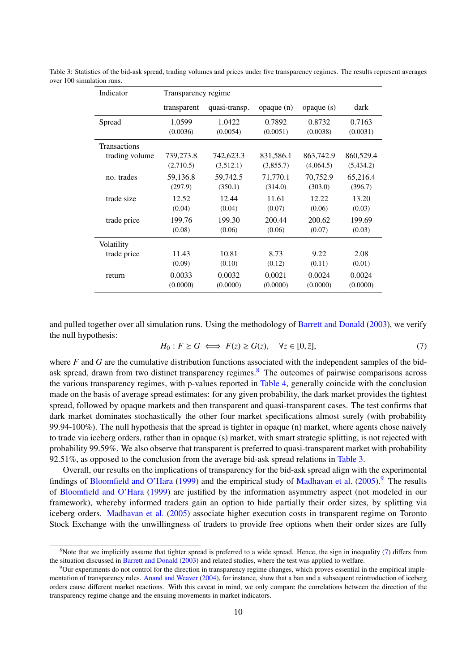| Indicator           | Transparency regime |               |              |              |           |
|---------------------|---------------------|---------------|--------------|--------------|-----------|
|                     | transparent         | quasi-transp. | opaque $(n)$ | opaque $(s)$ | dark      |
| Spread              | 1.0599              | 1.0422        | 0.7892       | 0.8732       | 0.7163    |
|                     | (0.0036)            | (0.0054)      | (0.0051)     | (0.0038)     | (0.0031)  |
| <b>Transactions</b> |                     |               |              |              |           |
| trading volume      | 739,273.8           | 742,623.3     | 831,586.1    | 863,742.9    | 860,529.4 |
|                     | (2,710.5)           | (3,512.1)     | (3,855.7)    | (4,064.5)    | (5,434.2) |
| no. trades          | 59,136.8            | 59,742.5      | 71,770.1     | 70,752.9     | 65,216.4  |
|                     | (297.9)             | (350.1)       | (314.0)      | (303.0)      | (396.7)   |
| trade size          | 12.52               | 12.44         | 11.61        | 12.22        | 13.20     |
|                     | (0.04)              | (0.04)        | (0.07)       | (0.06)       | (0.03)    |
| trade price         | 199.76              | 199.30        | 200.44       | 200.62       | 199.69    |
|                     | (0.08)              | (0.06)        | (0.06)       | (0.07)       | (0.03)    |
| Volatility          |                     |               |              |              |           |
| trade price         | 11.43               | 10.81         | 8.73         | 9.22         | 2.08      |
|                     | (0.09)              | (0.10)        | (0.12)       | (0.11)       | (0.01)    |
| return              | 0.0033              | 0.0032        | 0.0021       | 0.0024       | 0.0024    |
|                     | (0.0000)            | (0.0000)      | (0.0000)     | (0.0000)     | (0.0000)  |

<span id="page-10-0"></span>Table 3: Statistics of the bid-ask spread, trading volumes and prices under five transparency regimes. The results represent averages over 100 simulation runs.

and pulled together over all simulation runs. Using the methodology of [Barrett and Donald](#page-21-8) [\(2003\)](#page-21-8), we verify the null hypothesis:

<span id="page-10-1"></span>
$$
H_0: F \ge G \iff F(z) \ge G(z), \quad \forall z \in [0, \bar{z}], \tag{7}
$$

where *F* and *G* are the cumulative distribution functions associated with the independent samples of the bid-ask spread, drawn from two distinct transparency regimes.<sup>[8](#page-1-0)</sup> The outcomes of pairwise comparisons across the various transparency regimes, with p-values reported in [Table 4,](#page-11-0) generally coincide with the conclusion made on the basis of average spread estimates: for any given probability, the dark market provides the tightest spread, followed by opaque markets and then transparent and quasi-transparent cases. The test confirms that dark market dominates stochastically the other four market specifications almost surely (with probability 99.94-100%). The null hypothesis that the spread is tighter in opaque (n) market, where agents chose naively to trade via iceberg orders, rather than in opaque (s) market, with smart strategic splitting, is not rejected with probability 99.59%. We also observe that transparent is preferred to quasi-transparent market with probability 92.51%, as opposed to the conclusion from the average bid-ask spread relations in [Table 3.](#page-10-0)

Overall, our results on the implications of transparency for the bid-ask spread align with the experimental findings of [Bloomfield and O'Hara](#page-21-3) [\(1999\)](#page-21-3) and the empirical study of [Madhavan et al.](#page-22-6) [\(2005\)](#page-22-6).<sup>[9](#page-1-0)</sup> The results of [Bloomfield and O'Hara](#page-21-3) [\(1999\)](#page-21-3) are justified by the information asymmetry aspect (not modeled in our framework), whereby informed traders gain an option to hide partially their order sizes, by splitting via iceberg orders. [Madhavan et al.](#page-22-6) [\(2005\)](#page-22-6) associate higher execution costs in transparent regime on Toronto Stock Exchange with the unwillingness of traders to provide free options when their order sizes are fully

<sup>&</sup>lt;sup>8</sup>Note that we implicitly assume that tighter spread is preferred to a wide spread. Hence, the sign in inequality  $(7)$  differs from the situation discussed in [Barrett and Donald](#page-21-8) [\(2003\)](#page-21-8) and related studies, where the test was applied to welfare.

<sup>9</sup>Our experiments do not control for the direction in transparency regime changes, which proves essential in the empirical implementation of transparency rules. [Anand and Weaver](#page-21-1) [\(2004\)](#page-21-1), for instance, show that a ban and a subsequent reintroduction of iceberg orders cause different market reactions. With this caveat in mind, we only compare the correlations between the direction of the transparency regime change and the ensuing movements in market indicators.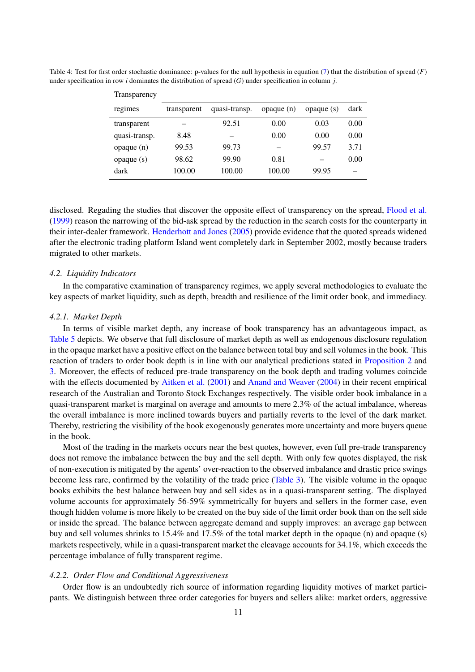| Transparency  |             |               |            |            |      |
|---------------|-------------|---------------|------------|------------|------|
| regimes       | transparent | quasi-transp. | opaque (n) | opaque (s) | dark |
| transparent   |             | 92.51         | 0.00       | 0.03       | 0.00 |
| quasi-transp. | 8.48        |               | 0.00       | 0.00       | 0.00 |
| opaque $(n)$  | 99.53       | 99.73         |            | 99.57      | 3.71 |
| opaque (s)    | 98.62       | 99.90         | 0.81       |            | 0.00 |
| dark          | 100.00      | 100.00        | 100.00     | 99.95      |      |

<span id="page-11-0"></span>Table 4: Test for first order stochastic dominance: p-values for the null hypothesis in equation [\(7\)](#page-10-1) that the distribution of spread (*F*) under specification in row *i* dominates the distribution of spread (*G*) under specification in column *j*.

disclosed. Regading the studies that discover the opposite effect of transparency on the spread, [Flood et al.](#page-22-5) [\(1999\)](#page-22-5) reason the narrowing of the bid-ask spread by the reduction in the search costs for the counterparty in their inter-dealer framework. [Henderhott and Jones](#page-22-1) [\(2005\)](#page-22-1) provide evidence that the quoted spreads widened after the electronic trading platform Island went completely dark in September 2002, mostly because traders migrated to other markets.

#### *4.2. Liquidity Indicators*

In the comparative examination of transparency regimes, we apply several methodologies to evaluate the key aspects of market liquidity, such as depth, breadth and resilience of the limit order book, and immediacy.

#### *4.2.1. Market Depth*

In terms of visible market depth, any increase of book transparency has an advantageous impact, as [Table 5](#page-12-0) depicts. We observe that full disclosure of market depth as well as endogenous disclosure regulation in the opaque market have a positive effect on the balance between total buy and sell volumes in the book. This reaction of traders to order book depth is in line with our analytical predictions stated in [Proposition 2](#page-5-2) and [3.](#page-5-1) Moreover, the effects of reduced pre-trade transparency on the book depth and trading volumes coincide with the effects documented by [Aitken et al.](#page-21-0) [\(2001\)](#page-21-0) and [Anand and Weaver](#page-21-1) [\(2004\)](#page-21-1) in their recent empirical research of the Australian and Toronto Stock Exchanges respectively. The visible order book imbalance in a quasi-transparent market is marginal on average and amounts to mere 2.3% of the actual imbalance, whereas the overall imbalance is more inclined towards buyers and partially reverts to the level of the dark market. Thereby, restricting the visibility of the book exogenously generates more uncertainty and more buyers queue in the book.

Most of the trading in the markets occurs near the best quotes, however, even full pre-trade transparency does not remove the imbalance between the buy and the sell depth. With only few quotes displayed, the risk of non-execution is mitigated by the agents' over-reaction to the observed imbalance and drastic price swings become less rare, confirmed by the volatility of the trade price [\(Table 3\)](#page-10-0). The visible volume in the opaque books exhibits the best balance between buy and sell sides as in a quasi-transparent setting. The displayed volume accounts for approximately 56-59% symmetrically for buyers and sellers in the former case, even though hidden volume is more likely to be created on the buy side of the limit order book than on the sell side or inside the spread. The balance between aggregate demand and supply improves: an average gap between buy and sell volumes shrinks to 15.4% and 17.5% of the total market depth in the opaque (n) and opaque (s) markets respectively, while in a quasi-transparent market the cleavage accounts for 34.1%, which exceeds the percentage imbalance of fully transparent regime.

#### *4.2.2. Order Flow and Conditional Aggressiveness*

Order flow is an undoubtedly rich source of information regarding liquidity motives of market participants. We distinguish between three order categories for buyers and sellers alike: market orders, aggressive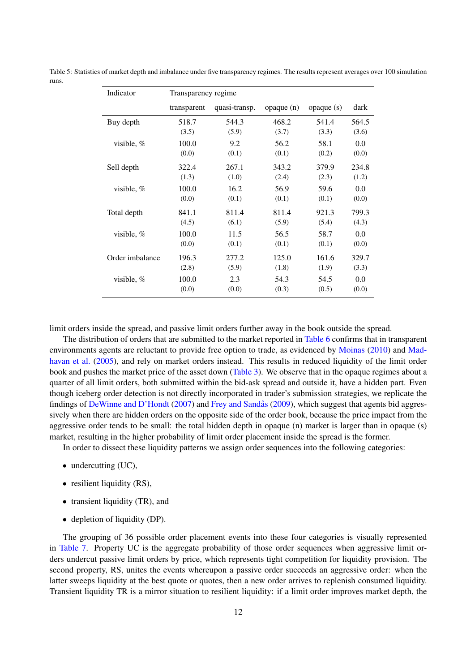| Indicator       | Transparency regime |               |              |              |       |
|-----------------|---------------------|---------------|--------------|--------------|-------|
|                 | transparent         | quasi-transp. | opaque $(n)$ | opaque $(s)$ | dark  |
| Buy depth       | 518.7               | 544.3         | 468.2        | 541.4        | 564.5 |
|                 | (3.5)               | (5.9)         | (3.7)        | (3.3)        | (3.6) |
| visible, %      | 100.0               | 9.2           | 56.2         | 58.1         | 0.0   |
|                 | (0.0)               | (0.1)         | (0.1)        | (0.2)        | (0.0) |
| Sell depth      | 322.4               | 267.1         | 343.2        | 379.9        | 234.8 |
|                 | (1.3)               | (1.0)         | (2.4)        | (2.3)        | (1.2) |
| visible, $%$    | 100.0               | 16.2          | 56.9         | 59.6         | 0.0   |
|                 | (0.0)               | (0.1)         | (0.1)        | (0.1)        | (0.0) |
| Total depth     | 841.1               | 811.4         | 811.4        | 921.3        | 799.3 |
|                 | (4.5)               | (6.1)         | (5.9)        | (5.4)        | (4.3) |
| visible, $%$    | 100.0               | 11.5          | 56.5         | 58.7         | 0.0   |
|                 | (0.0)               | (0.1)         | (0.1)        | (0.1)        | (0.0) |
| Order imbalance | 196.3               | 277.2         | 125.0        | 161.6        | 329.7 |
|                 | (2.8)               | (5.9)         | (1.8)        | (1.9)        | (3.3) |
| visible, $%$    | 100.0               | 2.3           | 54.3         | 54.5         | 0.0   |
|                 | (0.0)               | (0.0)         | (0.3)        | (0.5)        | (0.0) |

<span id="page-12-0"></span>Table 5: Statistics of market depth and imbalance under five transparency regimes. The results represent averages over 100 simulation runs.

limit orders inside the spread, and passive limit orders further away in the book outside the spread.

The distribution of orders that are submitted to the market reported in [Table 6](#page-13-0) confirms that in transparent environments agents are reluctant to provide free option to trade, as evidenced by [Moinas](#page-22-2) [\(2010\)](#page-22-2) and [Mad](#page-22-6)[havan et al.](#page-22-6) [\(2005\)](#page-22-6), and rely on market orders instead. This results in reduced liquidity of the limit order book and pushes the market price of the asset down [\(Table 3\)](#page-10-0). We observe that in the opaque regimes about a quarter of all limit orders, both submitted within the bid-ask spread and outside it, have a hidden part. Even though iceberg order detection is not directly incorporated in trader's submission strategies, we replicate the findings of [DeWinne and D'Hondt](#page-22-3) [\(2007\)](#page-22-3) and [Frey and Sandås](#page-22-4) [\(2009\)](#page-22-4), which suggest that agents bid aggressively when there are hidden orders on the opposite side of the order book, because the price impact from the aggressive order tends to be small: the total hidden depth in opaque (n) market is larger than in opaque (s) market, resulting in the higher probability of limit order placement inside the spread is the former.

In order to dissect these liquidity patterns we assign order sequences into the following categories:

- undercutting (UC),
- resilient liquidity (RS),
- transient liquidity (TR), and
- depletion of liquidity (DP).

The grouping of 36 possible order placement events into these four categories is visually represented in [Table 7.](#page-13-1) Property UC is the aggregate probability of those order sequences when aggressive limit orders undercut passive limit orders by price, which represents tight competition for liquidity provision. The second property, RS, unites the events whereupon a passive order succeeds an aggressive order: when the latter sweeps liquidity at the best quote or quotes, then a new order arrives to replenish consumed liquidity. Transient liquidity TR is a mirror situation to resilient liquidity: if a limit order improves market depth, the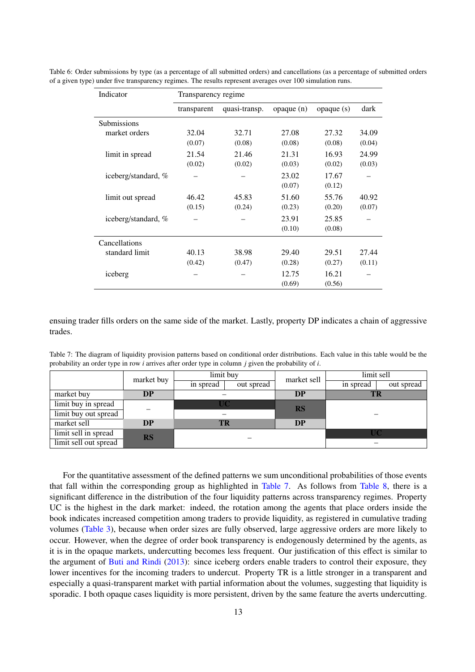| Indicator           | Transparency regime |               |              |              |        |
|---------------------|---------------------|---------------|--------------|--------------|--------|
|                     | transparent         | quasi-transp. | opaque $(n)$ | opaque $(s)$ | dark   |
| <b>Submissions</b>  |                     |               |              |              |        |
| market orders       | 32.04               | 32.71         | 27.08        | 27.32        | 34.09  |
|                     | (0.07)              | (0.08)        | (0.08)       | (0.08)       | (0.04) |
| limit in spread     | 21.54               | 21.46         | 21.31        | 16.93        | 24.99  |
|                     | (0.02)              | (0.02)        | (0.03)       | (0.02)       | (0.03) |
| iceberg/standard, % |                     |               | 23.02        | 17.67        |        |
|                     |                     |               | (0.07)       | (0.12)       |        |
| limit out spread    | 46.42               | 45.83         | 51.60        | 55.76        | 40.92  |
|                     | (0.15)              | (0.24)        | (0.23)       | (0.20)       | (0.07) |
| iceberg/standard, % |                     |               | 23.91        | 25.85        |        |
|                     |                     |               | (0.10)       | (0.08)       |        |
| Cancellations       |                     |               |              |              |        |
| standard limit      | 40.13               | 38.98         | 29.40        | 29.51        | 27.44  |
|                     | (0.42)              | (0.47)        | (0.28)       | (0.27)       | (0.11) |
| iceberg             |                     |               | 12.75        | 16.21        |        |
|                     |                     |               | (0.69)       | (0.56)       |        |

<span id="page-13-0"></span>Table 6: Order submissions by type (as a percentage of all submitted orders) and cancellations (as a percentage of submitted orders of a given type) under five transparency regimes. The results represent averages over 100 simulation runs.

ensuing trader fills orders on the same side of the market. Lastly, property DP indicates a chain of aggressive trades.

<span id="page-13-1"></span>

| Table 7: The diagram of liquidity provision patterns based on conditional order distributions. Each value in this table would be the |  |  |
|--------------------------------------------------------------------------------------------------------------------------------------|--|--|
| probability an order type in row $i$ arrives after order type in column $j$ given the probability of $i$ .                           |  |  |

|                       | market buy | limit buy |            | market sell | limit sell |            |
|-----------------------|------------|-----------|------------|-------------|------------|------------|
|                       |            | in spread | out spread |             | in spread  | out spread |
| market buy            | DP         |           |            | DP          | TR         |            |
| limit buy in spread   |            | UC        |            | <b>RS</b>   |            |            |
| limit buy out spread  |            |           |            |             |            |            |
| market sell           | DP         | TR        |            | DP          |            |            |
| limit sell in spread  | <b>RS</b>  |           |            |             | <b>UC</b>  |            |
| limit sell out spread |            |           |            |             |            |            |

For the quantitative assessment of the defined patterns we sum unconditional probabilities of those events that fall within the corresponding group as highlighted in [Table 7.](#page-13-1) As follows from [Table 8,](#page-14-0) there is a significant difference in the distribution of the four liquidity patterns across transparency regimes. Property UC is the highest in the dark market: indeed, the rotation among the agents that place orders inside the book indicates increased competition among traders to provide liquidity, as registered in cumulative trading volumes [\(Table 3\)](#page-10-0), because when order sizes are fully observed, large aggressive orders are more likely to occur. However, when the degree of order book transparency is endogenously determined by the agents, as it is in the opaque markets, undercutting becomes less frequent. Our justification of this effect is similar to the argument of [Buti and Rindi](#page-21-6) [\(2013\)](#page-21-6): since iceberg orders enable traders to control their exposure, they lower incentives for the incoming traders to undercut. Property TR is a little stronger in a transparent and especially a quasi-transparent market with partial information about the volumes, suggesting that liquidity is sporadic. I both opaque cases liquidity is more persistent, driven by the same feature the averts undercutting.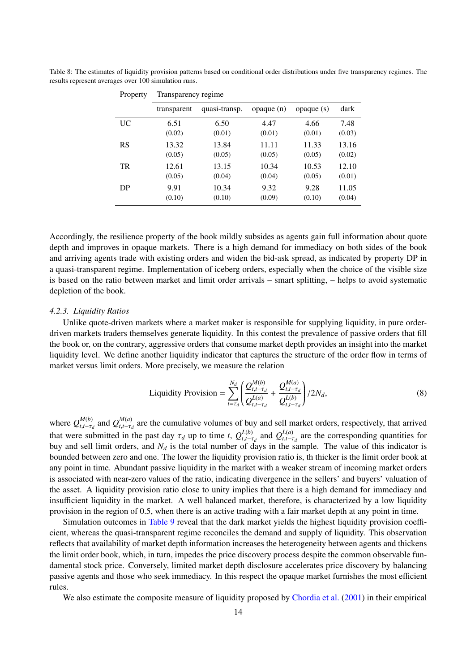| Property  | Transparency regime |               |              |            |        |
|-----------|---------------------|---------------|--------------|------------|--------|
|           | transparent         | quasi-transp. | opaque $(n)$ | opaque (s) | dark   |
| UC.       | 6.51                | 6.50          | 4.47         | 4.66       | 7.48   |
|           | (0.02)              | (0.01)        | (0.01)       | (0.01)     | (0.03) |
| <b>RS</b> | 13.32               | 13.84         | 11.11        | 11.33      | 13.16  |
|           | (0.05)              | (0.05)        | (0.05)       | (0.05)     | (0.02) |
| TR.       | 12.61               | 13.15         | 10.34        | 10.53      | 12.10  |
|           | (0.05)              | (0.04)        | (0.04)       | (0.05)     | (0.01) |
| DP        | 9.91                | 10.34         | 9.32         | 9.28       | 11.05  |
|           | (0.10)              | (0.10)        | (0.09)       | (0.10)     | (0.04) |

<span id="page-14-0"></span>Table 8: The estimates of liquidity provision patterns based on conditional order distributions under five transparency regimes. The results represent averages over 100 simulation runs.

Accordingly, the resilience property of the book mildly subsides as agents gain full information about quote depth and improves in opaque markets. There is a high demand for immediacy on both sides of the book and arriving agents trade with existing orders and widen the bid-ask spread, as indicated by property DP in a quasi-transparent regime. Implementation of iceberg orders, especially when the choice of the visible size is based on the ratio between market and limit order arrivals – smart splitting, – helps to avoid systematic depletion of the book.

#### *4.2.3. Liquidity Ratios*

Unlike quote-driven markets where a market maker is responsible for supplying liquidity, in pure orderdriven markets traders themselves generate liquidity. In this contest the prevalence of passive orders that fill the book or, on the contrary, aggressive orders that consume market depth provides an insight into the market liquidity level. We define another liquidity indicator that captures the structure of the order flow in terms of market versus limit orders. More precisely, we measure the relation

$$
\text{Liquidity Provision} = \sum_{t=\tau_d}^{N_d} \left( \frac{Q_{t,t-\tau_d}^{M(b)}}{Q_{t,t-\tau_d}^{L(a)}} + \frac{Q_{t,t-\tau_d}^{M(a)}}{Q_{t,t-\tau_d}^{L(b)}} \right) / 2N_d, \tag{8}
$$

where  $Q_{t,t-\tau_A}^{M(b)}$  and  $Q_{t,t-\tau_A}^{M(a)}$  are the cumulative volumes of buy and sell market orders, respectively, that arrived *<sup>t</sup>*,*t*−τ*<sup>d</sup> <sup>t</sup>*,*t*−τ*<sup>d</sup>* that were submitted in the past day  $\tau_d$  up to time *t*,  $Q_{t,t-\tau_d}^{L(b)}$  and  $Q_{t,t-\tau_d}^{L(a)}$  are the corresponding quantities for the value of this indicator is buy and sell limit orders, and  $N_d$  is the total number of days in the sample. The value of this indicator is bounded between zero and one. The lower the liquidity provision ratio is, th thicker is the limit order book at any point in time. Abundant passive liquidity in the market with a weaker stream of incoming market orders is associated with near-zero values of the ratio, indicating divergence in the sellers' and buyers' valuation of the asset. A liquidity provision ratio close to unity implies that there is a high demand for immediacy and insufficient liquidity in the market. A well balanced market, therefore, is characterized by a low liquidity provision in the region of 0.5, when there is an active trading with a fair market depth at any point in time.

Simulation outcomes in [Table 9](#page-15-0) reveal that the dark market yields the highest liquidity provision coefficient, whereas the quasi-transparent regime reconciles the demand and supply of liquidity. This observation reflects that availability of market depth information increases the heterogeneity between agents and thickens the limit order book, which, in turn, impedes the price discovery process despite the common observable fundamental stock price. Conversely, limited market depth disclosure accelerates price discovery by balancing passive agents and those who seek immediacy. In this respect the opaque market furnishes the most efficient rules.

We also estimate the composite measure of liquidity proposed by [Chordia et al.](#page-22-16) [\(2001\)](#page-22-16) in their empirical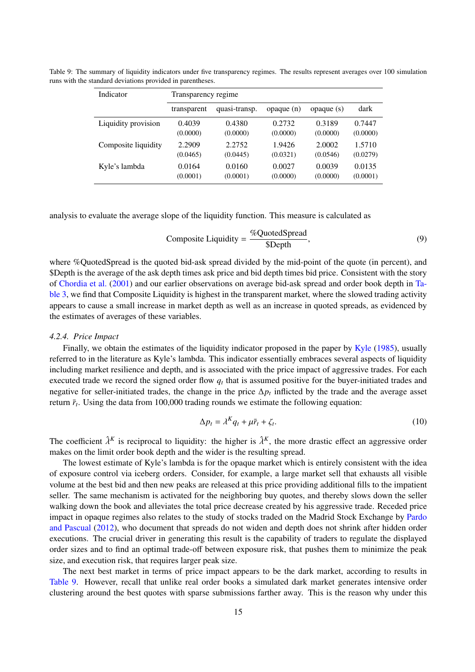<span id="page-15-0"></span>Table 9: The summary of liquidity indicators under five transparency regimes. The results represent averages over 100 simulation runs with the standard deviations provided in parentheses.

| Indicator           | Transparency regime |               |            |              |          |
|---------------------|---------------------|---------------|------------|--------------|----------|
|                     | transparent         | quasi-transp. | opaque (n) | opaque $(s)$ | dark     |
| Liquidity provision | 0.4039              | 0.4380        | 0.2732     | 0.3189       | 0.7447   |
|                     | (0.0000)            | (0.0000)      | (0.0000)   | (0.0000)     | (0.0000) |
| Composite liquidity | 2.2909              | 2.2752        | 1.9426     | 2.0002       | 1.5710   |
|                     | (0.0465)            | (0.0445)      | (0.0321)   | (0.0546)     | (0.0279) |
| Kyle's lambda       | 0.0164              | 0.0160        | 0.0027     | 0.0039       | 0.0135   |
|                     | (0.0001)            | (0.0001)      | (0.0000)   | (0.0000)     | (0.0001) |

analysis to evaluate the average slope of the liquidity function. This measure is calculated as

Composite Liquidity = 
$$
\frac{\%QuotedSpread}{\$Depth}
$$
, (9)

where %QuotedSpread is the quoted bid-ask spread divided by the mid-point of the quote (in percent), and \$Depth is the average of the ask depth times ask price and bid depth times bid price. Consistent with the story of [Chordia et al.](#page-22-16) [\(2001\)](#page-22-16) and our earlier observations on average bid-ask spread and order book depth in [Ta](#page-10-0)[ble 3,](#page-10-0) we find that Composite Liquidity is highest in the transparent market, where the slowed trading activity appears to cause a small increase in market depth as well as an increase in quoted spreads, as evidenced by the estimates of averages of these variables.

#### *4.2.4. Price Impact*

Finally, we obtain the estimates of the liquidity indicator proposed in the paper by [Kyle](#page-22-17) [\(1985\)](#page-22-17), usually referred to in the literature as Kyle's lambda. This indicator essentially embraces several aspects of liquidity including market resilience and depth, and is associated with the price impact of aggressive trades. For each executed trade we record the signed order flow  $q_t$  that is assumed positive for the buyer-initiated trades and negative for seller-initiated trades, the change in the price  $\Delta p_t$  inflicted by the trade and the average asset return  $\bar{r}_t$ . Using the data from 100,000 trading rounds we estimate the following equation:

$$
\Delta p_t = \lambda^K q_t + \mu \bar{r}_t + \zeta_t. \tag{10}
$$

The coefficient  $\hat{\lambda}^K$  is reciprocal to liquidity: the higher is  $\hat{\lambda}^K$ , the more drastic effect an aggressive order makes on the limit order book depth and the wider is the resulting spread.

The lowest estimate of Kyle's lambda is for the opaque market which is entirely consistent with the idea of exposure control via iceberg orders. Consider, for example, a large market sell that exhausts all visible volume at the best bid and then new peaks are released at this price providing additional fills to the impatient seller. The same mechanism is activated for the neighboring buy quotes, and thereby slows down the seller walking down the book and alleviates the total price decrease created by his aggressive trade. Receded price impact in opaque regimes also relates to the study of stocks traded on the Madrid Stock Exchange by [Pardo](#page-22-7) [and Pascual](#page-22-7) [\(2012\)](#page-22-7), who document that spreads do not widen and depth does not shrink after hidden order executions. The crucial driver in generating this result is the capability of traders to regulate the displayed order sizes and to find an optimal trade-off between exposure risk, that pushes them to minimize the peak size, and execution risk, that requires larger peak size.

The next best market in terms of price impact appears to be the dark market, according to results in [Table 9.](#page-15-0) However, recall that unlike real order books a simulated dark market generates intensive order clustering around the best quotes with sparse submissions farther away. This is the reason why under this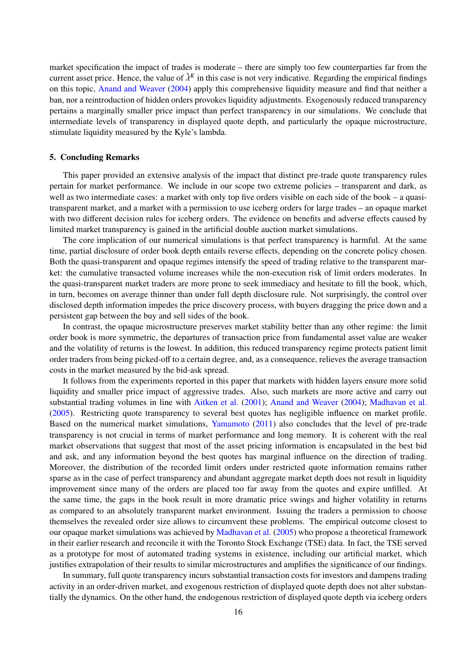market specification the impact of trades is moderate – there are simply too few counterparties far from the current asset price. Hence, the value of  $\lambda^K$  in this case is not very indicative. Regarding the empirical findings on this topic, [Anand and Weaver](#page-21-1) [\(2004\)](#page-21-1) apply this comprehensive liquidity measure and find that neither a ban, nor a reintroduction of hidden orders provokes liquidity adjustments. Exogenously reduced transparency pertains a marginally smaller price impact than perfect transparency in our simulations. We conclude that intermediate levels of transparency in displayed quote depth, and particularly the opaque microstructure, stimulate liquidity measured by the Kyle's lambda.

#### <span id="page-16-0"></span>5. Concluding Remarks

This paper provided an extensive analysis of the impact that distinct pre-trade quote transparency rules pertain for market performance. We include in our scope two extreme policies – transparent and dark, as well as two intermediate cases: a market with only top five orders visible on each side of the book – a quasitransparent market, and a market with a permission to use iceberg orders for large trades – an opaque market with two different decision rules for iceberg orders. The evidence on benefits and adverse effects caused by limited market transparency is gained in the artificial double auction market simulations.

The core implication of our numerical simulations is that perfect transparency is harmful. At the same time, partial disclosure of order book depth entails reverse effects, depending on the concrete policy chosen. Both the quasi-transparent and opaque regimes intensify the speed of trading relative to the transparent market: the cumulative transacted volume increases while the non-execution risk of limit orders moderates. In the quasi-transparent market traders are more prone to seek immediacy and hesitate to fill the book, which, in turn, becomes on average thinner than under full depth disclosure rule. Not surprisingly, the control over disclosed depth information impedes the price discovery process, with buyers dragging the price down and a persistent gap between the buy and sell sides of the book.

In contrast, the opaque microstructure preserves market stability better than any other regime: the limit order book is more symmetric, the departures of transaction price from fundamental asset value are weaker and the volatility of returns is the lowest. In addition, this reduced transparency regime protects patient limit order traders from being picked-off to a certain degree, and, as a consequence, relieves the average transaction costs in the market measured by the bid-ask spread.

It follows from the experiments reported in this paper that markets with hidden layers ensure more solid liquidity and smaller price impact of aggressive trades. Also, such markets are more active and carry out substantial trading volumes in line with [Aitken et al.](#page-21-0) [\(2001\)](#page-21-0); [Anand and Weaver](#page-21-1) [\(2004\)](#page-21-1); [Madhavan et al.](#page-22-6) [\(2005\)](#page-22-6). Restricting quote transparency to several best quotes has negligible influence on market profile. Based on the numerical market simulations, [Yamamoto](#page-22-11) [\(2011\)](#page-22-11) also concludes that the level of pre-trade transparency is not crucial in terms of market performance and long memory. It is coherent with the real market observations that suggest that most of the asset pricing information is encapsulated in the best bid and ask, and any information beyond the best quotes has marginal influence on the direction of trading. Moreover, the distribution of the recorded limit orders under restricted quote information remains rather sparse as in the case of perfect transparency and abundant aggregate market depth does not result in liquidity improvement since many of the orders are placed too far away from the quotes and expire unfilled. At the same time, the gaps in the book result in more dramatic price swings and higher volatility in returns as compared to an absolutely transparent market environment. Issuing the traders a permission to choose themselves the revealed order size allows to circumvent these problems. The empirical outcome closest to our opaque market simulations was achieved by [Madhavan et al.](#page-22-6) [\(2005\)](#page-22-6) who propose a theoretical framework in their earlier research and reconcile it with the Toronto Stock Exchange (TSE) data. In fact, the TSE served as a prototype for most of automated trading systems in existence, including our artificial market, which justifies extrapolation of their results to similar microstructures and amplifies the significance of our findings.

In summary, full quote transparency incurs substantial transaction costs for investors and dampens trading activity in an order-driven market, and exogenous restriction of displayed quote depth does not alter substantially the dynamics. On the other hand, the endogenous restriction of displayed quote depth via iceberg orders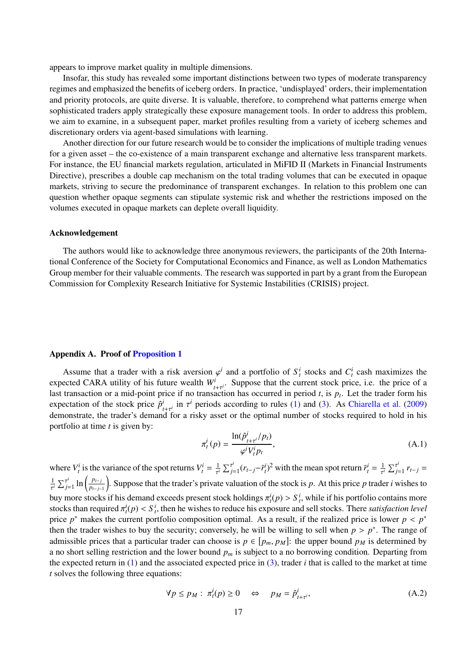appears to improve market quality in multiple dimensions.

Insofar, this study has revealed some important distinctions between two types of moderate transparency regimes and emphasized the benefits of iceberg orders. In practice, 'undisplayed' orders, their implementation and priority protocols, are quite diverse. It is valuable, therefore, to comprehend what patterns emerge when sophisticated traders apply strategically these exposure management tools. In order to address this problem, we aim to examine, in a subsequent paper, market profiles resulting from a variety of iceberg schemes and discretionary orders via agent-based simulations with learning.

Another direction for our future research would be to consider the implications of multiple trading venues for a given asset – the co-existence of a main transparent exchange and alternative less transparent markets. For instance, the EU financial markets regulation, articulated in MiFID II (Markets in Financial Instruments Directive), prescribes a double cap mechanism on the total trading volumes that can be executed in opaque markets, striving to secure the predominance of transparent exchanges. In relation to this problem one can question whether opaque segments can stipulate systemic risk and whether the restrictions imposed on the volumes executed in opaque markets can deplete overall liquidity.

#### Acknowledgement

The authors would like to acknowledge three anonymous reviewers, the participants of the 20th International Conference of the Society for Computational Economics and Finance, as well as London Mathematics Group member for their valuable comments. The research was supported in part by a grant from the European Commission for Complexity Research Initiative for Systemic Instabilities (CRISIS) project.

#### <span id="page-17-0"></span>Appendix A. Proof of [Proposition 1](#page-4-1)

Assume that a trader with a risk aversion  $\varphi^i$  and a portfolio of  $S_t^i$  stocks and  $C_t^i$  cash maximizes the exted  $C \Delta B \Delta$  utility of his future wealth  $W^i$ . Suppose that the current stock price i.e., the price of a expected CARA utility of his future wealth *W<sup>i</sup>*  $t_{t-\tau i}$ . Suppose that the current stock price, i.e. the price of a action has occurred in period t is n. Let the trader form his last transaction or a mid-point price if no transaction has occurred in period *t*, is *p<sup>t</sup>* . Let the trader form his expectation of the stock price  $\hat{p}^i_{t+\tau^i}$  in  $\tau^i$  periods according to rules [\(1\)](#page-4-2) and [\(3\)](#page-4-3). As [Chiarella et al.](#page-22-12) [\(2009\)](#page-22-12) demonstrate the trader's demand for a risky asset or the optimal number of stocks required to ho demonstrate, the trader's demand for a risky asset or the optimal number of stocks required to hold in his portfolio at time *t* is given by:

$$
\pi_t^i(p) = \frac{\ln(\hat{p}_{t+\tau^i}^i/p_t)}{\varphi^i V_t^i p_t},
$$
\n(A.1)

where  $V_t^i$  is the variance of the spot returns  $V_t^i = \frac{1}{\tau^i} \sum_{j=1}^{\tau^i}$  $\frac{1}{r^i} \sum_{i=1}^{r^i} \ln \left( \frac{p_{t-j}}{p_{t-i-1}} \right)$ . Suppose that the trader's private valuation of the stock is p. At this price p trade  $\frac{\tau^i}{j=1} (r_{t-j} - \bar{r}_t^i)^2$  with the mean spot return  $\bar{r}_t^i = \frac{1}{\tau^i} \sum_{j=1}^{\tau^i} r_j^i$  $\int_{j=1}^{r} r_{t-j} =$ buy more stocks if his demand exceeds present stock holdings  $\pi_i^i(p) > S_i^i$ , while if his portfolio contains more<br>stocks than required  $\pi^i(p) < S_i^i$  then be wishes to reduce his exposure and sell stocks. There satisfactio *f<sup>i</sup>* 1 **ln**  $\left(\frac{p_{t-j}}{p_{t-j}}\right)$ *pt*−*j*−<sup>1</sup> . Suppose that the trader's private valuation of the stock is *p*. At this price *p* trader *i* wishes to stocks than required  $\pi_i^i(p) < S_i^i$ , then he wishes to reduce his exposure and sell stocks. There *satisfaction level*<br>price  $p^*$  makes the current portfolio composition optimal. As a result, if the realized price is l price *p*<sup>∗</sup> makes the current portfolio composition optimal. As a result, if the realized price is lower  $p < p^*$ <br>then the trader wishes to buy the security: conversely, he will be willing to sell when  $p > p^*$ . The range then the trader wishes to buy the security; conversely, he will be willing to sell when  $p > p^*$ . The range of admissible prices that a particular trader can choose is  $p \in [p, p_{\text{rel}}]$ ; the upper bound  $p_{\text{rel}}$  is determi admissible prices that a particular trader can choose is  $p \in [p_m, p_M]$ : the upper bound  $p_M$  is determined by<br>a no short selling restriction and the lower bound *p* is subject to a no berrowing condition. Departing from a no short selling restriction and the lower bound *p<sup>m</sup>* is subject to a no borrowing condition. Departing from the expected return in  $(1)$  and the associated expected price in  $(3)$ , trader *i* that is called to the market at time *t* solves the following three equations:

$$
\forall p \le p_M : \pi_t^i(p) \ge 0 \quad \Leftrightarrow \quad p_M = \hat{p}_{t+\tau^i}^i,\tag{A.2}
$$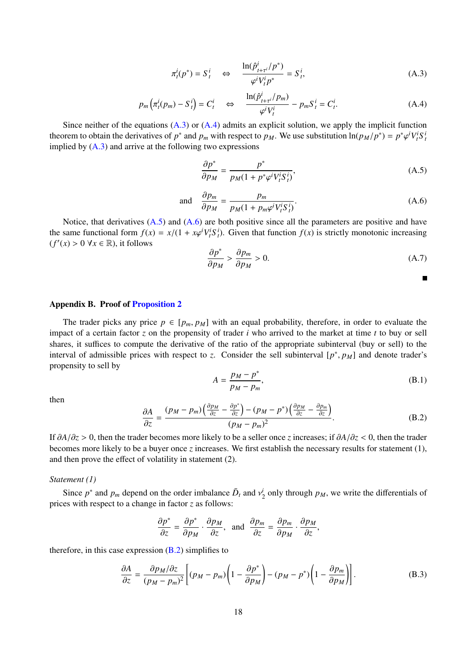<span id="page-18-1"></span>
$$
\pi_t^i(p^*) = S_t^i \qquad \Leftrightarrow \qquad \frac{\ln(\hat{p}_{t+\tau^i}^i/p^*)}{\varphi^i V_t^i p^*} = S_t^i,
$$
\n(A.3)

<span id="page-18-2"></span>
$$
p_m\left(\pi_t^i(p_m) - S_t^i\right) = C_t^i \qquad \Leftrightarrow \qquad \frac{\ln(\hat{p}_{t+\tau^i}^i/p_m)}{\varphi^i V_t^i} - p_m S_t^i = C_t^i. \tag{A.4}
$$

<sup>T</sup> Since neither of the equations  $(A.3)$  or  $(A.4)$  admits an explicit solution, we apply the implicit function theorem to obtain the derivatives of *p*<sup>\*</sup> and *p<sub>m</sub>* with respect to *p<sub>M</sub>*. We use substitution  $\ln(p_M/p^*) = p^*$ <br>implied by (A.3) and arrive at the following two expressions  $\overline{a}$  $i$ <sup>*Vi*</sup>*S*<sup>*i*</sup></sub> implied by [\(A.3\)](#page-18-1) and arrive at the following two expressions

<span id="page-18-3"></span>
$$
\frac{\partial p^*}{\partial p_M} = \frac{p^*}{p_M(1 + p^* \varphi^i V_i^i S_i^i)},\tag{A.5}
$$

<span id="page-18-4"></span>and 
$$
\frac{\partial p_m}{\partial p_M} = \frac{p_m}{p_M(1 + p_m \varphi^i V_i^i S_i^i)}.
$$
 (A.6)

Notice, that derivatives  $(A.5)$  and  $(A.6)$  are both positive since all the parameters are positive and have the same functional form  $f(x) = x/(1 + x\phi^i V_i^i S_i^i)$ . Given that function  $f(x)$  is strictly monotonic increasing  $(f'(x) > 0 \forall x \in \mathbb{R}$ ) it follows  $(f'(x) > 0 \,\forall x \in \mathbb{R}$ ), it follows

$$
\frac{\partial p^*}{\partial p_M} > \frac{\partial p_m}{\partial p_M} > 0.
$$
 (A.7)

#### <span id="page-18-0"></span>Appendix B. Proof of [Proposition 2](#page-5-2)

The trader picks any price  $p \in [p_m, p_M]$  with an equal probability, therefore, in order to evaluate the impact of a certain factor *z* on the propensity of trader *i* who arrived to the market at time *t* to buy or sell shares, it suffices to compute the derivative of the ratio of the appropriate subinterval (buy or sell) to the interval of admissible prices with respect to *z*. Consider the sell subinterval  $[p^*, p_M]$  and denote trader's propensity to sell by propensity to sell by

$$
A = \frac{p_M - p^*}{p_M - p_m},\tag{B.1}
$$

then

<span id="page-18-5"></span>
$$
\frac{\partial A}{\partial z} = \frac{(p_M - p_m) \left(\frac{\partial p_M}{\partial z} - \frac{\partial p^*}{\partial z}\right) - (p_M - p^*) \left(\frac{\partial p_M}{\partial z} - \frac{\partial p_m}{\partial z}\right)}{(p_M - p_m)^2}.
$$
\n(B.2)

If  $\partial A/\partial z > 0$ , then the trader becomes more likely to be a seller once *z* increases; if  $\partial A/\partial z < 0$ , then the trader<br>becomes more likely to be a buyer once *z* increases. We first establish the necessary results for sta becomes more likely to be a buyer once *z* increases. We first establish the necessary results for statement (1), and then prove the effect of volatility in statement (2).

#### *Statement (1)*

Since  $p^*$  and  $p_m$  depend on the order imbalance  $\bar{D}_t$  and  $v_2^i$  only through  $p_M$ , we write the differentials of es with respect to a change in factor z as follows: prices with respect to a change in factor *z* as follows:

$$
\frac{\partial p^*}{\partial z} = \frac{\partial p^*}{\partial p_M} \cdot \frac{\partial p_M}{\partial z}, \text{ and } \frac{\partial p_m}{\partial z} = \frac{\partial p_m}{\partial p_M} \cdot \frac{\partial p_M}{\partial z},
$$

therefore, in this case expression  $(B.2)$  simplifies to

$$
\frac{\partial A}{\partial z} = \frac{\partial p_M/\partial z}{(p_M - p_m)^2} \left[ (p_M - p_m) \left( 1 - \frac{\partial p^*}{\partial p_M} \right) - (p_M - p^*) \left( 1 - \frac{\partial p_m}{\partial p_M} \right) \right].
$$
\n(B.3)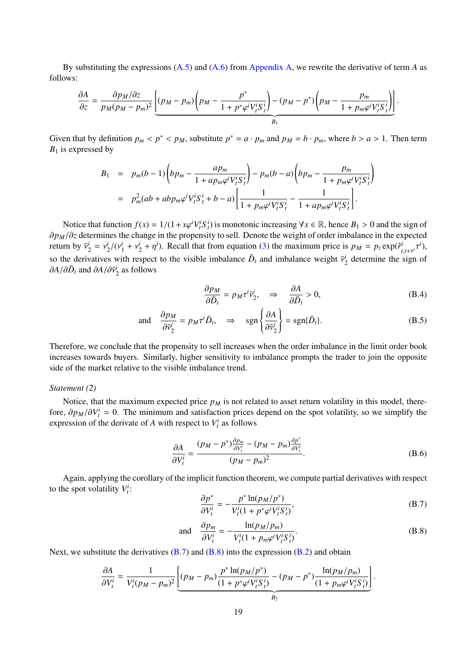By substituting the expressions [\(A.5\)](#page-18-3) and [\(A.6\)](#page-18-4) from [Appendix A,](#page-17-0) we rewrite the derivative of term *A* as follows:

$$
\frac{\partial A}{\partial z} = \frac{\partial p_M/\partial z}{p_M(p_M - p_m)^2} \underbrace{\left[ (p_M - p_m) \left( p_M - \frac{p^*}{1 + p^* \varphi^i V_i^i S_i^i} \right) - (p_M - p^*) \left( p_M - \frac{p_m}{1 + p_m \varphi^i V_i^i S_i^i} \right) \right]}_{B_1}.
$$

Given that by definition  $p_m < p^* < p_M$ , substitute  $p^* = a \cdot p_m$  and  $p_M = b \cdot p_m$ , where  $b > a > 1$ . Then term  $B_1$ , is expressed by *B*<sub>1</sub> is expressed by

$$
B_1 = p_m(b-1) \left( bp_m - \frac{ap_m}{1 + ap_m \varphi^i V_t^i S_t^i} \right) - p_m(b-a) \left( bp_m - \frac{p_m}{1 + p_m \varphi^i V_t^i S_t^i} \right)
$$
  
=  $p_m^2(ab + abp_m \varphi^i V_t^i S_t^i + b - a) \left[ \frac{1}{1 + p_m \varphi^i V_t^i S_t^i} - \frac{1}{1 + ap_m \varphi^i V_t^i S_t^i} \right].$ 

Notice that function  $f(x) = 1/(1 + x\varphi^i V_t^i S_t^i)$  is monotonic increasing  $\forall x \in \mathbb{R}$ , hence  $B_1 > 0$  and the sign of  $\Delta z$  determines the change in the propensity to sell. Denote the weight of order imbalance in the expe ∂*pM*/∂*<sup>z</sup>* determines the change in the propensity to sell. Denote the weight of order imbalance in the expected return by  $\tilde{v}_2^i = v_2^i/(v_1^i + v_2^i + \eta^i)$ . Recall that from equation [\(3\)](#page-4-3) the maximum price is  $p_M = p_t \exp(\hat{r}_{t,t+\tau^i}^i \tau^i)$ , so the derivatives with respect to the visible imbalance  $\bar{D}_t$  and imbalance weight  $\tilde{v}_2^i$  determine the sign of  $\partial A/\partial \bar{D}$  and  $\partial A/\partial \tilde{v}^i$  as follows  $\partial A/\partial \bar{D}_t$  and  $\partial A/\partial \tilde{v}_2^i$  as follows

$$
\frac{\partial p_M}{\partial \bar{D}_t} = p_M \tau^i \tilde{\nu}_2^i, \quad \Rightarrow \quad \frac{\partial A}{\partial \bar{D}_t} > 0,
$$
\n(B.4)

and 
$$
\frac{\partial p_M}{\partial \tilde{v}_2^i} = p_M \tau^i \bar{D}_t, \implies \text{sgn}\left\{\frac{\partial A}{\partial \tilde{v}_2^i}\right\} = \text{sgn}\{\bar{D}_t\}.
$$
 (B.5)

Therefore, we conclude that the propensity to sell increases when the order imbalance in the limit order book increases towards buyers. Similarly, higher sensitivity to imbalance prompts the trader to join the opposite side of the market relative to the visible imbalance trend.

#### *Statement (2)*

Notice, that the maximum expected price  $p_M$  is not related to asset return volatility in this model, therefore,  $\partial p_M/\partial V_i^i = 0$ . The minimum and satisfaction prices depend on the spot volatility, so we simplify the expression of the derivate of 4 with respect to  $V_i^i$  as follows expression of the derivate of *A* with respect to  $V_t^i$  as follows

$$
\frac{\partial A}{\partial V_i^i} = \frac{(p_M - p^*)\frac{\partial p_m}{\partial V_i^i} - (p_M - p_m)\frac{\partial p^*}{\partial V_i^i}}{(p_M - p_m)^2}.
$$
\n(B.6)

Again, applying the corollary of the implicit function theorem, we compute partial derivatives with respect to the spot volatility  $V_i^i$ :

<span id="page-19-0"></span>
$$
\frac{\partial p^*}{\partial V_t^i} = -\frac{p^* \ln(p_M/p^*)}{V_t^i (1 + p^* \varphi^i V_t^i S_t^i)},
$$
(B.7)

<span id="page-19-1"></span>and 
$$
\frac{\partial p_m}{\partial V_t^i} = -\frac{\ln(p_M/p_m)}{V_t^i(1 + p_m\varphi^i V_t^i S_t^i)}.
$$
 (B.8)

Next, we substitute the derivatives  $(B.7)$  and  $(B.8)$  into the expression  $(B.2)$  and obtain

<span id="page-19-2"></span>
$$
\frac{\partial A}{\partial V_t^i} = \frac{1}{V_t^i (p_M - p_m)^2} \underbrace{\left[ (p_M - p_m) \frac{p^* \ln(p_M/p^*)}{(1 + p^* \varphi^i V_t^i S_t^i)} - (p_M - p^*) \frac{\ln(p_M/p_m)}{(1 + p_m \varphi^i V_t^i S_t^i)} \right]}_{B_2}
$$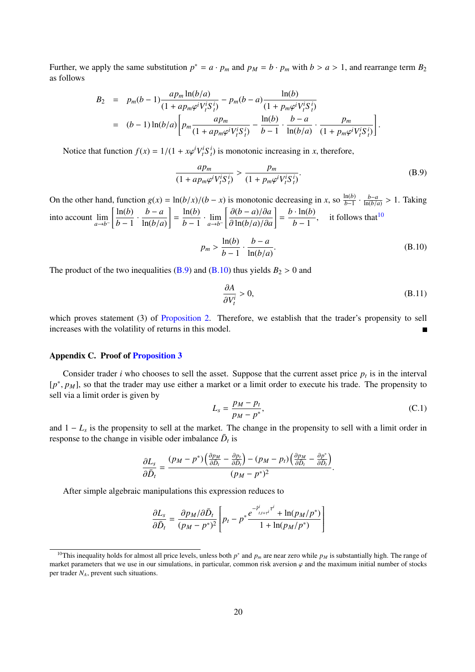Further, we apply the same substitution  $p^* = a \cdot p_m$  and  $p_M = b \cdot p_m$  with  $b > a > 1$ , and rearrange term  $B_2$ as follows

$$
B_2 = p_m(b-1)\frac{ap_m \ln(b/a)}{(1 + ap_m\varphi^i V_i^i S_i^i)} - p_m(b-a)\frac{\ln(b)}{(1 + p_m\varphi^i V_i^i S_i^i)}
$$
  
= 
$$
(b-1)\ln(b/a)\left[p_m \frac{ap_m}{(1 + ap_m\varphi^i V_i^i S_i^i)} - \frac{\ln(b)}{b-1} \cdot \frac{b-a}{\ln(b/a)} \cdot \frac{p_m}{(1 + p_m\varphi^i V_i^i S_i^i)}\right].
$$

Notice that function  $f(x) = 1/(1 + x\varphi^i V_i^i S_i^i)$  is monotonic increasing in *x*, therefore,

$$
\frac{ap_m}{(1 + ap_m \varphi^i V_t^i S_t^i)} > \frac{p_m}{(1 + p_m \varphi^i V_t^i S_t^i)}.
$$
 (B.9)

On the other hand, function  $g(x) = \ln(b/x)/(b - x)$  is monotonic decreasing in *x*, so  $\frac{\ln(b)}{b-1}$  $\frac{\ln(b)}{b-1} \cdot \frac{b-a}{\ln(b/a)}$  $\frac{b-a}{\ln(b/a)} > 1$ . Taking into account  $\lim_{a \to b^-}$  $\lceil \ln(b) \rceil$  $\frac{\ln(b)}{b-1} \cdot \frac{b-a}{\ln(b/a)}$ ln(*b*/*a*) 1  $=\frac{\ln(b)}{1}$  $\frac{\text{Im}(b)}{b-1} \cdot \lim_{a \to b^-}$  $\int \frac{\partial (b-a)}{\partial \ln(b/a)} d\alpha$ ∂ ln(*b*/*a*)/∂*<sup>a</sup>* 1  $=\frac{b \cdot \ln(b)}{1}$  $\frac{\ln(b)}{b-1}$ , it follows that<sup>[10](#page-1-0)</sup>

<span id="page-20-1"></span>
$$
p_m > \frac{\ln(b)}{b-1} \cdot \frac{b-a}{\ln(b/a)}.\tag{B.10}
$$

The product of the two inequalities  $(B.9)$  and  $(B.10)$  thus yields  $B_2 > 0$  and

$$
\frac{\partial A}{\partial V_t^i} > 0,\tag{B.11}
$$

which proves statement (3) of [Proposition 2.](#page-5-2) Therefore, we establish that the trader's propensity to sell increases with the volatility of returns in this model.

#### <span id="page-20-0"></span>Appendix C. Proof of [Proposition 3](#page-5-1)

Consider trader  $i$  who chooses to sell the asset. Suppose that the current asset price  $p_t$  is in the interval [*p*<sup>\*</sup>, *p<sub>M</sub>*], so that the trader may use either a market or a limit order to execute his trade. The propensity to sell via a limit order is given by sell via a limit order is given by

$$
L_s = \frac{p_M - p_t}{p_M - p^*},\tag{C.1}
$$

and  $1 - L_s$  is the propensity to sell at the market. The change in the propensity to sell with a limit order in response to the change in visible oder imbalance  $\bar{D}_t$  is

$$
\frac{\partial L_s}{\partial \bar{D}_t} = \frac{(p_M - p^*) \left( \frac{\partial p_M}{\partial \bar{D}_t} - \frac{\partial p_t}{\partial \bar{D}_t} \right) - (p_M - p_t) \left( \frac{\partial p_M}{\partial \bar{D}_t} - \frac{\partial p^*}{\partial \bar{D}_t} \right)}{(p_M - p^*)^2}.
$$

After simple algebraic manipulations this expression reduces to

$$
\frac{\partial L_s}{\partial \bar{D}_t} = \frac{\partial p_M/\partial \bar{D}_t}{(p_M - p^*)^2} \left[ p_t - p^* \frac{e^{-\hat{p}_{t,t+t'}^i \bar{t}^i} + \ln(p_M/p^*)}{1 + \ln(p_M/p^*)} \right]
$$

<sup>&</sup>lt;sup>10</sup>This inequality holds for almost all price levels, unless both  $p^*$  and  $p_m$  are near zero while  $p_M$  is substantially high. The range of market parameters that we use in our simulations, in particular, common risk aversion  $\varphi$  and the maximum initial number of stocks per trader *NA*, prevent such situations.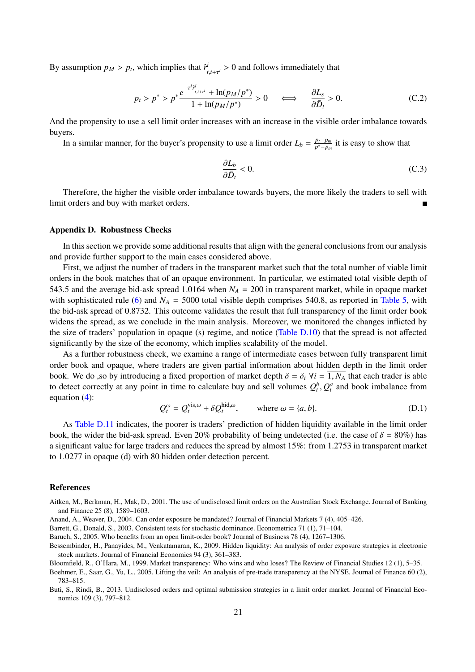By assumption  $p_M > p_t$ , which implies that  $\hat{r}_t^i$  $t_{t,t+\tau}$  > 0 and follows immediately that

$$
p_t > p^* > p^* \frac{e^{-\tau^i \hat{r}^i_{t,t+\tau^i}} + \ln(p_M/p^*)}{1 + \ln(p_M/p^*)} > 0 \qquad \Longleftrightarrow \qquad \frac{\partial L_s}{\partial \bar{D}_t} > 0. \tag{C.2}
$$

And the propensity to use a sell limit order increases with an increase in the visible order imbalance towards buyers.

In a similar manner, for the buyer's propensity to use a limit order  $L_b = \frac{p_t - p_m}{p^* - p_m}$  $\frac{p_t - p_m}{p^* - p_m}$  it is easy to show that

$$
\frac{\partial L_b}{\partial \bar{D}_t} < 0. \tag{C.3}
$$

Therefore, the higher the visible order imbalance towards buyers, the more likely the traders to sell with limit orders and buy with market orders.

#### <span id="page-21-7"></span>Appendix D. Robustness Checks

In this section we provide some additional results that align with the general conclusions from our analysis and provide further support to the main cases considered above.

First, we adjust the number of traders in the transparent market such that the total number of viable limit orders in the book matches that of an opaque environment. In particular, we estimated total visible depth of 543.5 and the average bid-ask spread 1.0164 when  $N_A = 200$  in transparent market, while in opaque market with sophisticated rule [\(6\)](#page-7-0) and  $N_A = 5000$  total visible depth comprises 540.8, as reported in [Table 5,](#page-12-0) with the bid-ask spread of 0.8732. This outcome validates the result that full transparency of the limit order book widens the spread, as we conclude in the main analysis. Moreover, we monitored the changes inflicted by the size of traders' population in opaque (s) regime, and notice [\(Table D.10\)](#page-22-18) that the spread is not affected significantly by the size of the economy, which implies scalability of the model.

As a further robustness check, we examine a range of intermediate cases between fully transparent limit order book and opaque, where traders are given partial information about hidden depth in the limit order book. We do ,so by introducing a fixed proportion of market depth  $\delta = \delta_i$   $\forall i = 1, N_A$  that each trader is able to detect correctly at any point in time to calculate buy and sell volumes  $Q_t^b$ ,  $Q_t^a$  and book imbalance from equation (A): equation [\(4\)](#page-6-1):

$$
Q_t^{\omega} = Q_t^{\text{vis}, \omega} + \delta Q_t^{\text{hid}, \omega}, \qquad \text{where } \omega = \{a, b\}. \tag{D.1}
$$

As [Table D.11](#page-23-0) indicates, the poorer is traders' prediction of hidden liquidity available in the limit order book, the wider the bid-ask spread. Even 20% probability of being undetected (i.e. the case of  $\delta = 80\%$ ) has a significant value for large traders and reduces the spread by almost 15%: from 1.2753 in transparent market to 1.0277 in opaque (d) with 80 hidden order detection percent.

#### References

<span id="page-21-0"></span>Aitken, M., Berkman, H., Mak, D., 2001. The use of undisclosed limit orders on the Australian Stock Exchange. Journal of Banking and Finance 25 (8), 1589–1603.

<span id="page-21-1"></span>Anand, A., Weaver, D., 2004. Can order exposure be mandated? Journal of Financial Markets 7 (4), 405–426.

<span id="page-21-8"></span>Barrett, G., Donald, S., 2003. Consistent tests for stochastic dominance. Econometrica 71 (1), 71–104.

<span id="page-21-4"></span>Baruch, S., 2005. Who benefits from an open limit-order book? Journal of Business 78 (4), 1267–1306.

<span id="page-21-5"></span>Bessembinder, H., Panayides, M., Venkatamaran, K., 2009. Hidden liquidity: An analysis of order exposure strategies in electronic stock markets. Journal of Financial Economics 94 (3), 361–383.

<span id="page-21-3"></span>Bloomfield, R., O'Hara, M., 1999. Market transparency: Who wins and who loses? The Review of Financial Studies 12 (1), 5–35.

<span id="page-21-2"></span>Boehmer, E., Saar, G., Yu, L., 2005. Lifting the veil: An analysis of pre-trade transparency at the NYSE. Journal of Finance 60 (2), 783–815.

<span id="page-21-6"></span>Buti, S., Rindi, B., 2013. Undisclosed orders and optimal submission strategies in a limit order market. Journal of Financial Economics 109 (3), 797–812.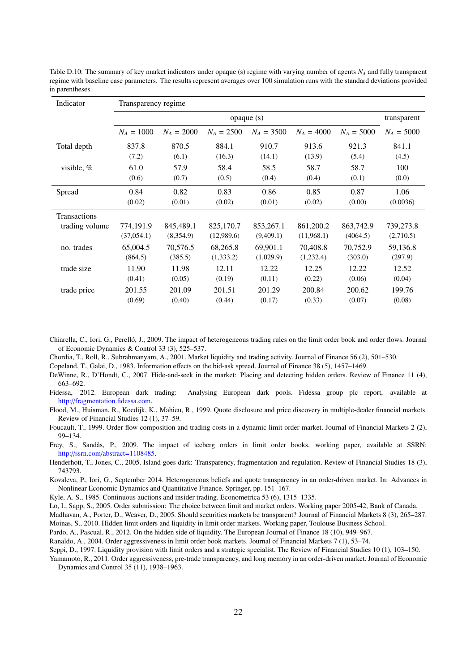| Indicator           | Transparency regime       |              |              |              |              |              |              |  |  |
|---------------------|---------------------------|--------------|--------------|--------------|--------------|--------------|--------------|--|--|
|                     | opaque (s)<br>transparent |              |              |              |              |              |              |  |  |
|                     | $N_A = 1000$              | $N_A = 2000$ | $N_A = 2500$ | $N_A = 3500$ | $N_A = 4000$ | $N_A = 5000$ | $N_A = 5000$ |  |  |
| Total depth         | 837.8                     | 870.5        | 884.1        | 910.7        | 913.6        | 921.3        | 841.1        |  |  |
|                     | (7.2)                     | (6.1)        | (16.3)       | (14.1)       | (13.9)       | (5.4)        | (4.5)        |  |  |
| visible, $%$        | 61.0                      | 57.9         | 58.4         | 58.5         | 58.7         | 58.7         | 100          |  |  |
|                     | (0.6)                     | (0.7)        | (0.5)        | (0.4)        | (0.4)        | (0.1)        | (0.0)        |  |  |
| Spread              | 0.84                      | 0.82         | 0.83         | 0.86         | 0.85         | 0.87         | 1.06         |  |  |
|                     | (0.02)                    | (0.01)       | (0.02)       | (0.01)       | (0.02)       | (0.00)       | (0.0036)     |  |  |
| <b>Transactions</b> |                           |              |              |              |              |              |              |  |  |
| trading volume      | 774,191.9                 | 845,489.1    | 825,170.7    | 853, 267.1   | 861,200.2    | 863,742.9    | 739,273.8    |  |  |
|                     | (37,054.1)                | (8,354.9)    | (12,989.6)   | (9,409.1)    | (11,968.1)   | (4064.5)     | (2,710.5)    |  |  |
| no. trades          | 65,004.5                  | 70,576.5     | 68,265.8     | 69,901.1     | 70,408.8     | 70,752.9     | 59,136.8     |  |  |
|                     | (864.5)                   | (385.5)      | (1,333.2)    | (1,029.9)    | (1,232.4)    | (303.0)      | (297.9)      |  |  |
| trade size          | 11.90                     | 11.98        | 12.11        | 12.22        | 12.25        | 12.22        | 12.52        |  |  |
|                     | (0.41)                    | (0.05)       | (0.19)       | (0.11)       | (0.22)       | (0.06)       | (0.04)       |  |  |
| trade price         | 201.55                    | 201.09       | 201.51       | 201.29       | 200.84       | 200.62       | 199.76       |  |  |
|                     | (0.69)                    | (0.40)       | (0.44)       | (0.17)       | (0.33)       | (0.07)       | (0.08)       |  |  |

<span id="page-22-18"></span>Table D.10: The summary of key market indicators under opaque (s) regime with varying number of agents *N<sup>A</sup>* and fully transparent regime with baseline case parameters. The results represent averages over 100 simulation runs with the standard deviations provided in parentheses.

<span id="page-22-12"></span>Chiarella, C., Iori, G., Perelló, J., 2009. The impact of heterogeneous trading rules on the limit order book and order flows. Journal of Economic Dynamics & Control 33 (3), 525–537.

<span id="page-22-16"></span>Chordia, T., Roll, R., Subrahmanyam, A., 2001. Market liquidity and trading activity. Journal of Finance 56 (2), 501–530.

<span id="page-22-10"></span>Copeland, T., Galai, D., 1983. Information effects on the bid-ask spread. Journal of Finance 38 (5), 1457–1469.

<span id="page-22-3"></span>DeWinne, R., D'Hondt, C., 2007. Hide-and-seek in the market: Placing and detecting hidden orders. Review of Finance 11 (4), 663–692.

<span id="page-22-0"></span>Fidessa, 2012. European dark trading: Analysing European dark pools. Fidessa group plc report, available at http://[fragmentation.fidessa.com.](http://fragmentation.fidessa.com)

<span id="page-22-5"></span>Flood, M., Huisman, R., Koedijk, K., Mahieu, R., 1999. Quote disclosure and price discovery in multiple-dealer financial markets. Review of Financial Studies 12 (1), 37–59.

<span id="page-22-9"></span>Foucault, T., 1999. Order flow composition and trading costs in a dynamic limit order market. Journal of Financial Markets 2 (2), 99–134.

<span id="page-22-4"></span>Frey, S., Sandås, P., 2009. The impact of iceberg orders in limit order books, working paper, available at SSRN: http://ssrn.com/abstract=[1108485.](http://ssrn.com/abstract=1108485)

<span id="page-22-1"></span>Henderhott, T., Jones, C., 2005. Island goes dark: Transparency, fragmentation and regulation. Review of Financial Studies 18 (3), 743793.

<span id="page-22-15"></span>Kovaleva, P., Iori, G., September 2014. Heterogeneous beliefs and quote transparency in an order-driven market. In: Advances in Nonlinear Economic Dynamics and Quantitative Finance. Springer, pp. 151–167.

<span id="page-22-17"></span>Kyle, A. S., 1985. Continuous auctions and insider trading. Econometrica 53 (6), 1315–1335.

<span id="page-22-14"></span>Lo, I., Sapp, S., 2005. Order submission: The choice between limit and market orders. Working paper 2005-42, Bank of Canada.

<span id="page-22-6"></span>Madhavan, A., Porter, D., Weaver, D., 2005. Should securities markets be transparent? Journal of Financial Markets 8 (3), 265–287.

<span id="page-22-2"></span>Moinas, S., 2010. Hidden limit orders and liquidity in limit order markets. Working paper, Toulouse Business School.

<span id="page-22-7"></span>Pardo, A., Pascual, R., 2012. On the hidden side of liquidity. The European Journal of Finance 18 (10), 949–967.

<span id="page-22-13"></span>Ranaldo, A., 2004. Order aggressiveness in limit order book markets. Journal of Financial Markets 7 (1), 53–74.

<span id="page-22-8"></span>Seppi, D., 1997. Liquidity provision with limit orders and a strategic specialist. The Review of Financial Studies 10 (1), 103–150.

<span id="page-22-11"></span>Yamamoto, R., 2011. Order aggressiveness, pre-trade transparency, and long memory in an order-driven market. Journal of Economic Dynamics and Control 35 (11), 1938–1963.